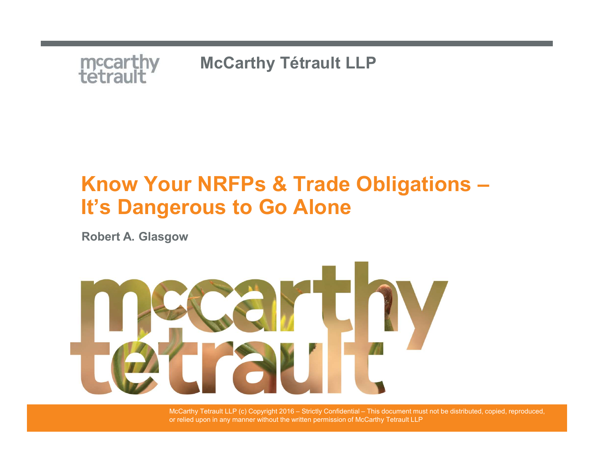

# mccarthy McCarthy Tétrault LLP<br>Know Your NRFPs & Trade Obligations –<br>It's Dangerous to Go Alone It's Dangerous to Go Alone

Robert A. Glasgow



or relied upon in any manner without the written permission of McCarthy Tetrault LLP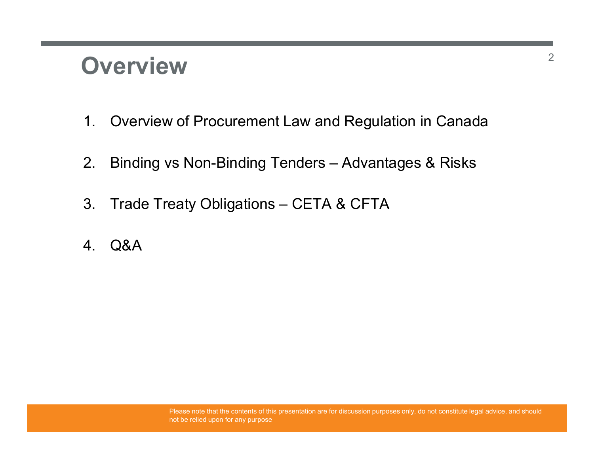### **Overview**

- 1. Overview<br>1. Overview of Procurement Law and Regulation in Canada<br>2. Binding vs Non-Binding Tenders Advantages & Risks 2. **DVETVİEW**<br>2. Binding vs Non-Binding Tenders – Advantages & Risks<br>2. Binding vs Non-Binding Tenders – Advantages & Risks<br>3. Trade Treaty Obligations – CETA & CFTA **Overview**<br>3. Overview of Procurement Law and Regulation in Canada<br>3. Binding vs Non-Binding Tenders – Advantages & Risks<br>3. Trade Treaty Obligations – CETA & CFTA<br>4. Q&A **Overview**<br>
1. Overview of Procurement Law and R<br>
2. Binding vs Non-Binding Tenders – Ad<br>
3. Trade Treaty Obligations – CETA & C<br>
4. Q&A
- 
- 
-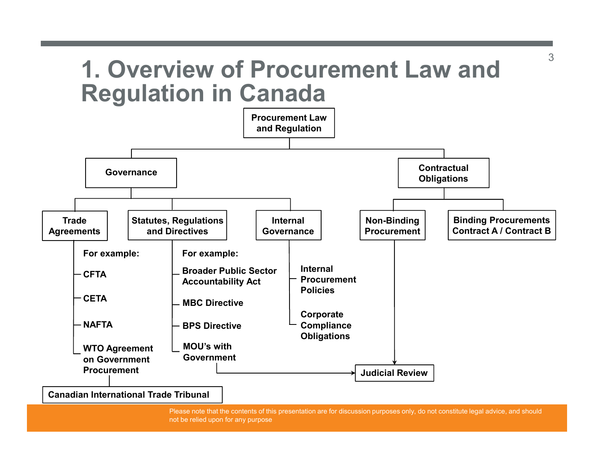### 1. Overview of Procurement Law and Regulation in Canada

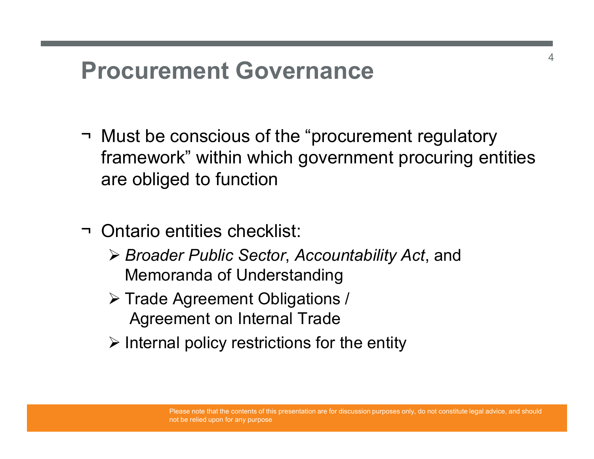### Procurement Governance

- → **Procurement Governance**<br>→ Must be conscious of the "procurement regulatory<br>framework" within which government procuring entities<br>are obliged to function framework" within which government procuring entities are obliged to function → **Procurement Governance**<br>
→ Must be conscious of the "procure<br>
framework" within which governm<br>
are obliged to function<br>
→ Ontario entities checklist:<br>
→ *Broader Public Sector, Accounta*<br>
Memoranda of Understanding
- - ▶ Broader Public Sector, Accountability Act, and Memoranda of Understanding
	- **≻ Trade Agreement Obligations /** Agreement on Internal Trade
	- $\triangleright$  Internal policy restrictions for the entity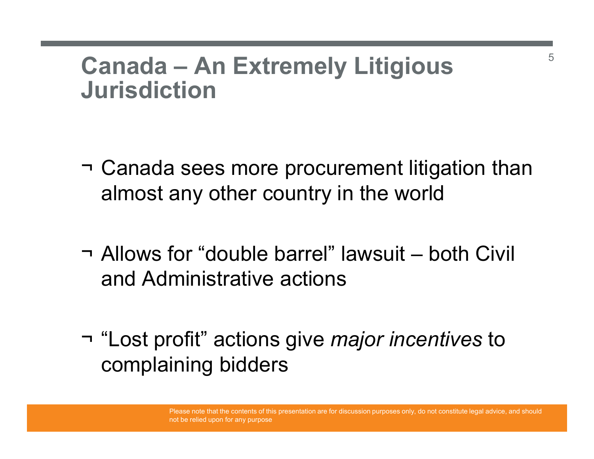# Canada – An Extremely Litigious Jurisdiction

- Canada An Extremely Litigious<br>Jurisdiction<br>¬ Canada sees more procurement litigation than<br>almost any other country in the world almost any other country in the world Canada – An Extremely Litigious<br>Jurisdiction<br>→ Canada sees more procurement litigation than<br>almost any other country in the world<br>→ Allows for "double barrel" lawsuit – both Civil<br>and Administrative actions ¬ Canada sees more procurement litigation than<br>almost any other country in the world<br>¬ Allows for "double barrel" lawsuit – both Civil<br>and Administrative actions<br>¬ "Lost profit" actions give *major incentives* to<br>complain
- and Administrative actions
- complaining bidders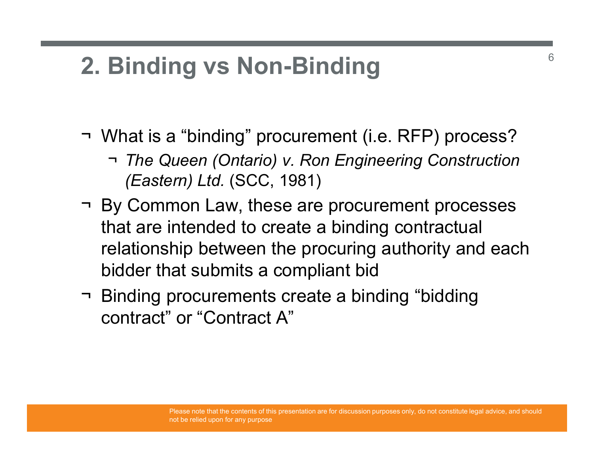### 2. Binding vs Non-Binding

- **2. Binding vs Non-Binding<br>
→ What is a "binding" procurement (i.e. RFP) process?<br>
→ The Queen (Ontario) v. Ron Engineering Construction<br>(Eastern) Ltd. (SCC, 1981)** ¬ The Queen (Ontario) v. Ron Engineering Construction (Eastern) Ltd. (SCC, 1981)
- **2. Binding vs Non-Binding**<br>
→ What is a "binding" procurement (i.e. RFP) process?<br>
→ *The Queen (Ontario) v. Ron Engineering Construction (Eastern) Ltd.* (SCC, 1981)<br>
→ By Common Law, these are procurement processes<br>
th that are intended to create a binding contractual relationship between the procuring authority and each bidder that submits a compliant bid → What is a "binding" procurement (i.e. RFP) process?<br>
→ The Queen (Ontario) v. Ron Engineering Construction<br>
(Eastern) Ltd. (SCC, 1981)<br>
→ By Common Law, these are procurement processes<br>
that are intended to create a bin
- contract" or "Contract A"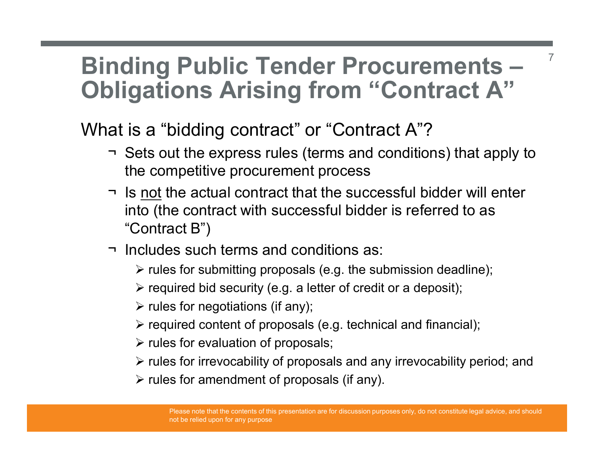### Binding Public Tender Procurements – Obligations Arising from "Contract A" **OREAD THE EXECUTE IN SET AND THE EXECUTE IN SETS ON SET AND AND THE EXPRESE THE EXPRESENCE THE CONDUCT THE CONDUCT THE CONDUCT THE CONDUCT THE CONDUCT THE CONDUCT THE CONDUCT THE CONDUCT THE CONDUCT THE CONDUCT THE CONDUC**

What is a "bidding contract" or "Contract A"?

the competitive procurement process

7

- **Original contract of the actual contract A**<br> **Pligations Arising from "Contract A"**<br>
at is a "bidding contract" or "Contract A"?<br>
The sout the express rules (terms and conditions) that apply to<br>
the competitive procuremen into (the contract with successful bidder is referred to as "Contract B") **nding Public Tender Procurem**<br> **Digations Arising from "Contract A"?**<br>
The set is a "bidding contract" or "Contract A"?<br>
The set is out the express rules (terms and conditions)<br>
The such terms and contract that the succe **required content of proposals** (e.g. technical and financial);<br>  $\triangleright$  relation of the actual contract that the successful bidder will enter<br>
to (the contract with successful bidder is referred to as<br>
Contract B")<br>
clude
- - $\triangleright$  rules for submitting proposals (e.g. the submission deadline);
	- $\triangleright$  required bid security (e.g. a letter of credit or a deposit);
	- $\triangleright$  rules for negotiations (if any);
	-
	- $\triangleright$  rules for evaluation of proposals;
	- $\triangleright$  rules for irrevocability of proposals and any irrevocability period; and
	- $\triangleright$  rules for amendment of proposals (if any).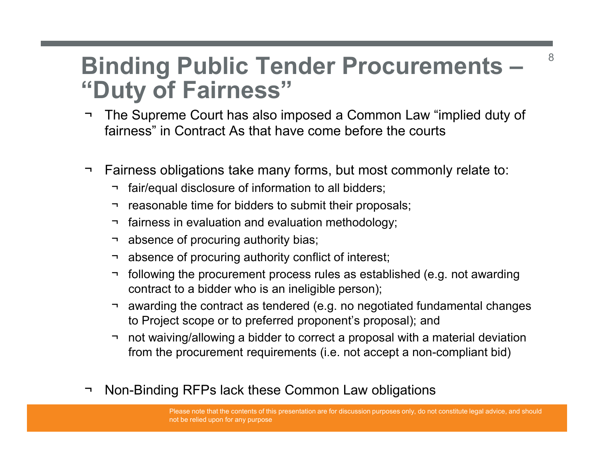### Binding Public Tender Procurements – "Duty of Fairness" Binding Public Tender Procurements — <sup>8</sup><br>
"Duty of Fairness"<br>
The Supreme Court has also imposed a Common Law "implied duty of<br>
fairness" in Contract As that have come before the courts **Binding Public Tender Procurements** — <sup>8</sup><br> **Cuty of Fairness''**<br>
The Supreme Court has also imposed a Common Law "implied duty of<br>
fairness" in Contract As that have come before the courts<br>
The Supreme Subligations take m **ORTAGE TERN SET AND FRAMEL SET AND FRAMEL SOLUTERY**<br>The Supreme Court has also imposed a Common Law "im<br>airness" in Contract As that have come before the courts<br>cairness obligations take many forms, but most commonly<br>airn ¬ reasonable time for bidders to submit their proposals; **OF Fairness**"<br>
The Supreme Court has also imposed a Common Law "implairness" in Contract As that have come before the courts<br>
Fairness obligations take many forms, but most commonly represent to all bidders;<br>
The fair/equ **ORTE ADVICE TENDET PROMAGE SET AND ADVICE ADDET AND ADVIDED SET AND ARRENT STATE STAT CONTRACT THE SUPROM THE STAT THE STAT THE STAT THE STAT THE STAT THE STAT THE STAT THE STAT THE STAT THE STAT THE STAT THE STAT THE STA Transfer that is also imposed a Common Law "implairness" in Contract As that have come before the courts**<br>airness" in Contract As that have come before the courts<br>airness obligations take many forms, but most commonly int

- fairness" in Contract As that have come before the courts Uty of Fairness"<br>
The Supreme Court has also imposed a Common Law "implied duty of<br>
airness" in Contract As that have come before the courts<br>
airness obligations take many forms, but most commonly relate to:<br>
→ fair/equal
- -
	-
	-
	-
	-
	- contract to a bidder who is an ineligible person);
- he Supreme Court has also imposed a Common Law "implied duty of<br>airness" in Contract As that have come before the courts<br>airness obligations take many forms, but most commonly relate to:<br>
↑ fair/equal disclosure of infor to Project scope or to preferred proponent's proposal); and
- Compared in the produced in the produced to correct a proposal with a material deviation of the proposal with a material endineery a discussion of procuring authority bias;<br>
The session explanation and evaluation methodol from the procurement requirements (i.e. not accept a non-compliant bid) → reasonable time for bidders to submit their proposals;<br>
→ fairness in evaluation and evaluation methodology;<br>
→ absence of procuring authority bias;<br>
→ absence of procuring authority conflict of interest;<br>
→ following t
-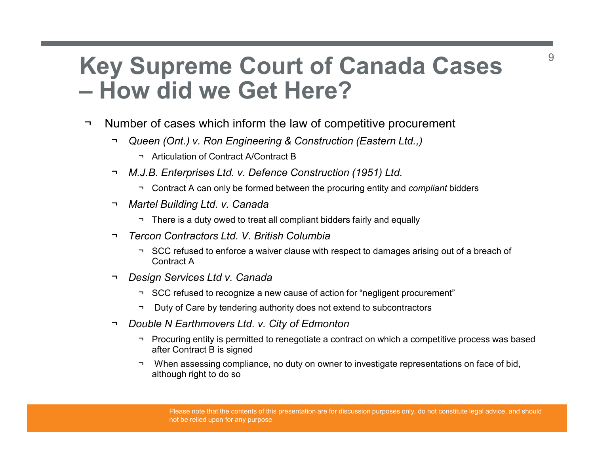### Key Supreme Court of Canada Cases **Key Supreme Court of Canada Case**<br>
- **How did we Get Here?**<br>
- Number of cases which inform the law of competitive procurement<br>
- Queen (Ont.) y. Ron Engineering & Construction (Eastern Ltd..) **Supreme Court of Canada Cases**<br> **- How did we Get Here?**<br>
- Number of cases which inform the law of competitive procurement<br>
- Queen (Ont.) v. Ron Engineering & Construction (Eastern Ltd.,)<br>
- Articulation of Contract A/C Supreme Court of Canada C:<br>
W did we Get Here?<br>
Per of cases which inform the law of competitive procurement<br>
Menten (Ont.) v. Ron Engineering & Construction (Eastern Ltd.,)<br>
Thiculation of Contract A/Contract B<br>
J.B. Ente **Supreme Court of Canada Case**<br> **Low did we Get Here?**<br>
<br>
We are form the law of competitive procurement<br>  $\frac{1}{\sqrt{2}}$ <br>  $\frac{1}{\sqrt{2}}$ <br>  $\frac{1}{\sqrt{2}}$ <br>  $\frac{1}{\sqrt{2}}$ <br>  $\frac{1}{\sqrt{2}}$ <br>  $\frac{1}{\sqrt{2}}$ <br>  $\frac{1}{\sqrt{2}}$ <br>  $\frac{1}{\sqrt{2}}$ <br>  $\frac$ **Supreme Court of Canada**<br>
Jow did we Get Here?<br>
There is a duty of competitive procur<br>
There is a duty of Contract AContract B<br>
There is a duty over the procuring entity and contract A can only be formed between the procu **Supreme Court of Canada Cases**<br> **W did we Get Here?**<br>
For of cases which inform the law of competitive procurement<br>
premer (Ont.) v. Ron Engineering & Construction (Eastern Ltd..)<br>
- Articulation of Contract A/Contract B<br>

- - -
	- ¬ M.J.B. Enterprises Ltd. v. Defence Construction (1951) Ltd.
		-
	- -
	-
- Contract A **Example 1999 Construction**<br>
The refuseor of Contract AContract B<br>
The refuseor of Contract AContract B<br>
J.B. Enterprises Ltd. v. Defence Construction (1951) Ltd.<br>
There is a duty owed to treat all compliant bidders fair
	- Design Services Ltd v. Canada
		-
		-
	-
- **Humber of cases which inform the law of competitive procurement**<br>
→ Queen (Ont.) v. Ron Engineering & Construction (Eastern Ltd..)<br>
→ Articulation of Contract A'Contract B<br>
→ M.J.B. Enterprises Ltd. v. Defence Constructi after Contract B is signed
	- → Articulation of Contract A/Contract B<br>
	→ Articulation of Contract A/Contract B<br>
	J.B. Enterprises Ltd. v. Defence Construction (1951) Ltd.<br>
	→ Contract A can only be formed between the procuring entity and *compliant* bid J.B. Enterprises Ltd. v. Defence Construction (1951) Ltd.<br>
	There is a duty over to to treat all compliant bidders fairly and compliant bidders<br>
	There is a duty over to to treat all compliant bidders fairly and equally<br>
	The although right to do so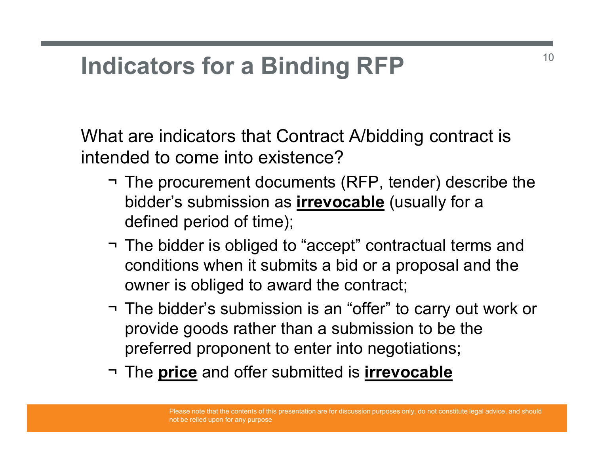### Indicators for a Binding RFP

What are indicators that Contract A/bidding contract is intended to come into existence?

- dicators for a Binding RFP<br>at are indicators that Contract A/bidding contract is<br>nded to come into existence?<br>¬ The procurement documents (RFP, tender) describe the<br>bidder's submission as <u>irrevocable</u> (usually for a<br>defi bidder's submission as **irrevocable** (usually for a defined period of time); dicators for a Binding RFP<br>at are indicators that Contract A/bidding contract is<br>mded to come into existence?<br>The procurement documents (RFP, tender) describe the<br>bidder's submission as <u>irrevocable</u> (usually for a<br>defined
- conditions when it submits a bid or a proposal and the owner is obliged to award the contract;
- at are indicators that Contract A/bidding contract is<br>
mded to come into existence?<br>
The procurement documents (RFP, tender) describe the<br>
bidder's submission as **irrevocable** (usually for a<br>
defined period of time);<br>
The provide goods rather than a submission to be the preferred proponent to enter into negotiations; → The procurement documents (RFP, tender) describe the<br>bidder's submission as **irrevocable** (usually for a<br>defined period of time);<br><br>→ The bidder is obliged to "accept" contractual terms and<br>conditions when it submits a b
-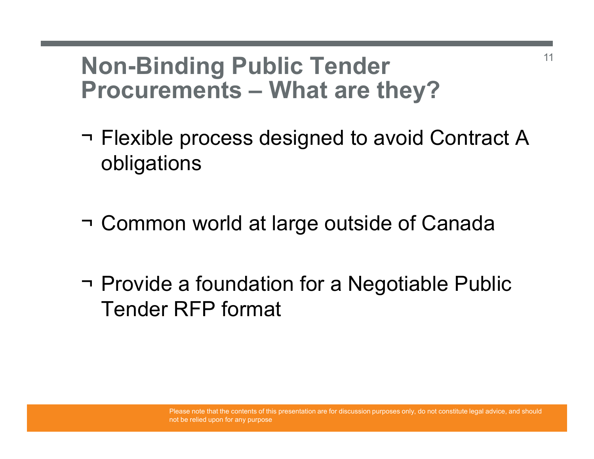# Non-Binding Public Tender Procurements – What are they?<br>Procurements – What are they?<br>Prexible process designed to avoid Contract A

- Non-Binding Public Tender<br>Procurements What are they?<br>¬ Flexible process designed to avoid Contract A obligations obligations Non-Binding Public Tender<br>Procurements – What are they?<br>¬ Flexible process designed to avoid Contract A<br>obligations<br>¬ Common world at large outside of Canada ¬ Flexible process designed to avoid Contract A<br>
obligations<br>
¬ Common world at large outside of Canada<br>
¬ Provide a foundation for a Negotiable Public<br>
Tender RFP format
- 
- Tender RFP format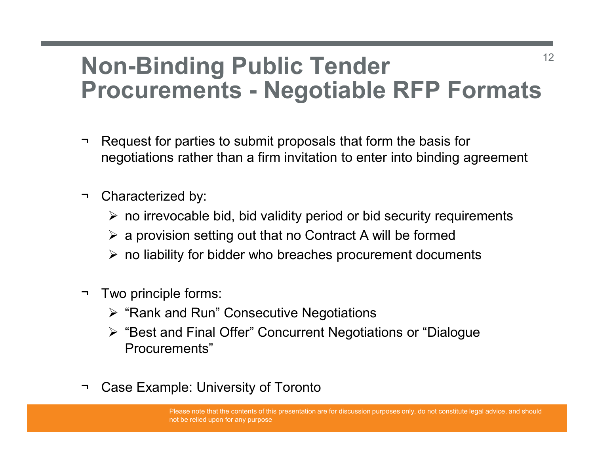### Non-Binding Public Tender Non-Binding Public Tender<br>Procurements - Negotiable RFP Formats Non-Binding Public Tender<br>Procurements - Negotiable RFP Formats<br>The Request for parties to submit proposals that form the basis for<br>negotiations rather than a firm invitation to enter into binding agreement **Non-Binding Public Ter<br>Procurements - Negotia<br>
→ Request for parties to submit proposals the<br>
megotiations rather than a firm invitation to<br>
→ Characterized by:<br>
→ no irrevocable bid, bid validity period<br>
→ a provision s**

- negotiations rather than a firm invitation to enter into binding agreement → Request for parties to submit proposals the<br>negotiations rather than a firm invitation to<br><br>
→ Characterized by:<br>
→ no irrevocable bid, bid validity period<br>
→ a provision setting out that no Contra<br>
→ no liability for bi
- - $\triangleright$  no irrevocable bid, bid validity period or bid security requirements
	- $\triangleright$  a provision setting out that no Contract A will be formed
	- $\triangleright$  no liability for bidder who breaches procurement documents
- - $\triangleright$  "Rank and Run" Consecutive Negotiations
- "Best and Final Offer" Concurrent Negotiations or "Dialogue Procurements" → Characterized by:<br>
→ no irrevocable bid, bid validity period or bid security rec<br>
→ a provision setting out that no Contract A will be forme<br>
→ no liability for bidder who breaches procurement docur<br>
→ Two principle for
-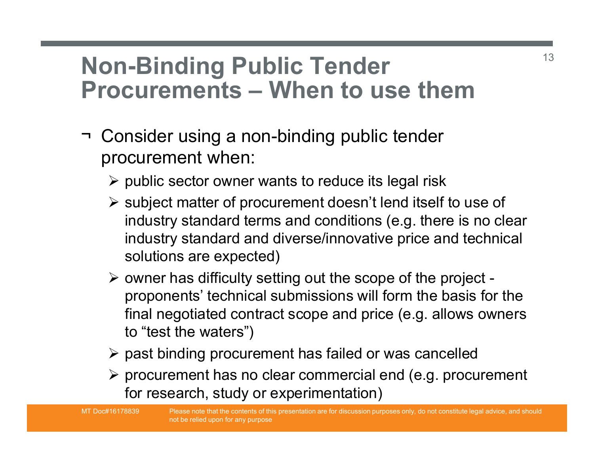## Non-Binding Public Tender **Non-Binding Public Tender**<br>Procurements – When to use them<br>Procurements – When to use them<br>Procurements – when to use them Non-Binding Public Tender<br>Procurements — When to use them<br>→ Consider using a non-binding public tender<br>procurement when:<br>→ public sector owner wants to reduce its legal risk

- procurement when:
	- $\triangleright$  public sector owner wants to reduce its legal risk
	- $\triangleright$  subject matter of procurement doesn't lend itself to use of industry standard terms and conditions (e.g. there is no clear industry standard and diverse/innovative price and technical solutions are expected)
	- $\triangleright$  owner has difficulty setting out the scope of the project proponents' technical submissions will form the basis for the final negotiated contract scope and price (e.g. allows owners to "test the waters")
	- $\triangleright$  past binding procurement has failed or was cancelled
	- $\triangleright$  procurement has no clear commercial end (e.g. procurement for research, study or experimentation)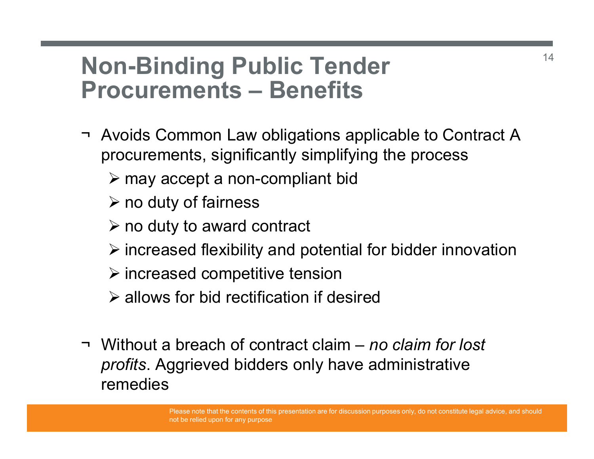# Non-Binding Public Tender **Non-Binding Public Tender<br>Procurements – Benefits<br>The Avoids Common Law obligations applicable to Contract A**

- Non-Binding Public Tender<br>Procurements Benefits<br>→ Avoids Common Law obligations applicable to Contract A<br>procurements, significantly simplifying the process<br>→ may accept a non-compliant bid procurements, significantly simplifying the process
	- $\triangleright$  may accept a non-compliant bid
	- $\triangleright$  no duty of fairness
	- $\triangleright$  no duty to award contract
	- $\triangleright$  increased flexibility and potential for bidder innovation
	- $\triangleright$  increased competitive tension
	- $\triangleright$  allows for bid rectification if desired
- procurements, significantly simplifying the process<br>  $\triangleright$  may accept a non-compliant bid<br>  $\triangleright$  no duty of fairness<br>  $\triangleright$  no duty to award contract<br>  $\triangleright$  increased flexibility and potential for bidder innovation<br> profits. Aggrieved bidders only have administrative remedies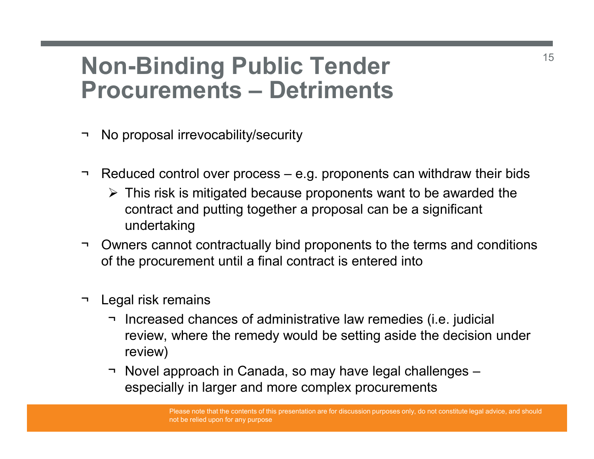### Non-Binding Public Tender **Non-Binding Public Tender<br>Procurements – Detriments<br>Procurements – Detriments<br>Procurements – Reproposal irrevocability/security Non-Binding Public Tender<br>Procurements — Detriments<br>- No proposal irrevocability/security<br>- Reduced control over process – e.g. proponents can** Non-Binding Public Tender<br>Procurements — Detriments<br>→ No proposal irrevocability/security<br>→ Reduced control over process – e.g. proponents can withdraw their bids<br>→ This risk is mitigated because proponents want to be awa

- 
- 
- on-Binding Public Tender<br>
ocurements Detriments<br>
lo proposal irrevocability/security<br>
Reduced control over process e.g. proponents can withdraw their bids<br>
> This risk is mitigated because proponents want to be awarded contract and putting together a proposal can be a significant undertaking **Non-Binding Public Tender**<br>
→ No proposal irrevocability/security<br>
→ Reduced control over process – e.g. proponents can withdraw their bids<br>
→ This risk is mitigated because proponents want to be awarded the<br>
contract a → No proposal irrevocability/security<br>
→ Reduced control over process – e.g. prop<br>
→ This risk is mitigated because propon<br>
contract and putting together a propo<br>
undertaking<br>
→ Owners cannot contractually bind propon<br>
of
- of the procurement until a final contract is entered into
- 
- Io proposal irrevocability/security<br>
Neduced control over process e.g. proponents can withdraw their bids<br>  $\triangleright$  This risk is mitigated because proponents want to be awarded the<br>
contract and putting together a proposa review, where the remedy would be setting aside the decision under review) • Novel approach in Canada, so may have legal challenges –<br>  $\rightarrow$  Novel approach in Canada, so may have legal challenges –<br>
especially in larger and contract is entered into<br>  $\rightarrow$  Novel approach in Canada, so may have leg
	- especially in larger and more complex procurements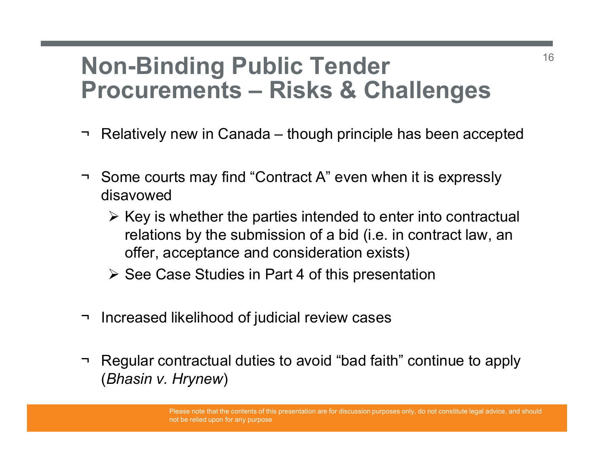### Non-Binding Public Tender **Non-Binding Public Tender**<br>Procurements – Risks & Challenges<br>Procurements – Risks & Challenges<br>Prelatively new in Canada – though principle has been accepted **Non-Binding Public Tender**<br>Procurements — Risks & Challenges<br>Thelatively new in Canada – though principle has been accepted<br>Then courts may find "Contract A" even when it is expressly Non-Binding Public Tender<br>Procurements — Risks & Challenges<br>→ Relatively new in Canada – though principle has been accepted<br>→ Some courts may find "Contract A" even when it is expressly<br>disavowed<br>→ Key is whether the part

- 
- disavowed
- $\triangleright$  Key is whether the parties intended to enter into contractual relations by the submission of a bid (i.e. in contract law, an offer, acceptance and consideration exists) → Relatively new in Canada – though principle has been accept<br>
→ Some courts may find "Contract A" even when it is expressly<br>
disavowed<br>
→ Key is whether the parties intended to enter into contractu<br>
relations by the sub → Some courts may find "Contract A" even when it is expressly<br>
disavowed<br>
→ Key is whether the parties intended to enter into contractual<br>
relations by the submission of a bid (i.e. in contract law, an<br>
offer, acceptance disavowed<br>  $\triangleright$  Key is whether the parties intended to entriversity<br>
relations by the submission of a bid (i.e. in<br>
offer, acceptance and consideration exists<br>  $\triangleright$  See Case Studies in Part 4 of this present<br>
Increase
	- $\triangleright$  See Case Studies in Part 4 of this presentation
- 
-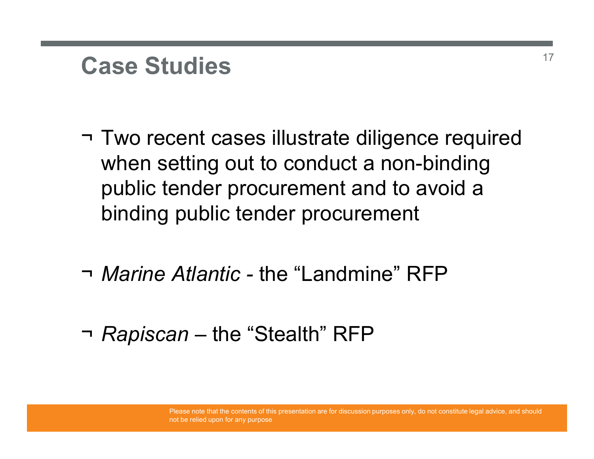### Case Studies

- Case Studies<br>→ Two recent cases illustrate diligence required<br>when setting out to conduct a non-binding<br>public tender procurement and to avoid a when setting out to conduct a non-binding public tender procurement and to avoid a binding public tender procurement When setting out to conduct a non-binding<br>public tender procurement and to avoid a<br>binding public tender procurement<br>The Marine Atlantic - the "Landmine" RFP<br>The "Stealth" RFP
- ¬ Marine Atlantic the "Landmine" RFP
-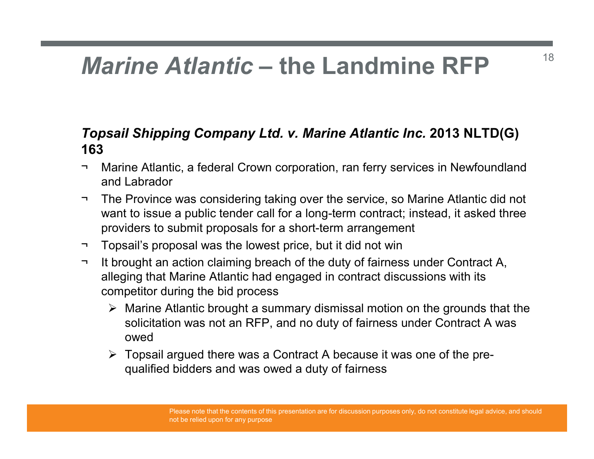# Marine Atlantic – the Landmine RFP

### Topsail Shipping Company Ltd. v. Marine Atlantic Inc. 2013 NLTD(G) 163 **Marine Atlantic — the Landmine RFP**<br> **Topsail Shipping Company Ltd. v. Marine Atlantic Inc. 2013 NLTD(G)**<br> **Topsail Shipping Company Ltd. v. Marine Atlantic Inc. 2013 NLTD(G)**<br>
The Province was considering taking over th

- and Labrador
- **Marine Atlantic the Landmine RFP**<br> **Topsail Shipping Company Ltd. v. Marine Atlantic Inc. 2013 NLTD(G)**<br> **The Province Was considering taking over the service, so Marine Atlantic did not<br>
The Province was considering t** want to issue a public tender call for a long-term contract; instead, it asked three providers to submit proposals for a short-term arrangement Marine Atlantic — the Landmine RFP<br>
Topsail Shipping Company Ltd. v. Marine Atlantic Inc. 2013 NLTD(G)<br>
163<br>
Tharine Atlantic, a federal Crown corporation, ran ferry services in Newfoundland<br>
and Labrador<br>
The Province wa Topsail Shipping Company Ltd. v. Marine Atlantic Inc. 2013 NLTD(G)<br>
Topsail Shipping Company Ltd. v. Marine Atlantic Inc. 2013 NLTD(G)<br>
The Marine Atlantic, a federal Crown corporation, ran ferry services in Newfoundland<br>
- 
- alleging that Marine Atlantic had engaged in contract discussions with its competitor during the bid process
	- $\triangleright$  Marine Atlantic brought a summary dismissal motion on the grounds that the solicitation was not an RFP, and no duty of fairness under Contract A was owed
	- $\triangleright$  Topsail argued there was a Contract A because it was one of the prequalified bidders and was owed a duty of fairness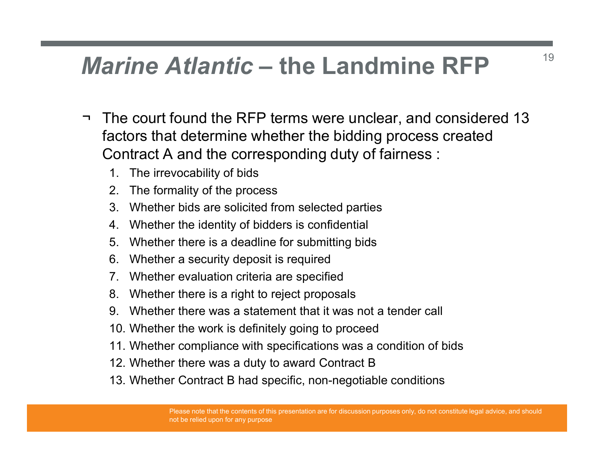# *Marine Atlantic* – the Landmine RFP  $\frac{1}{19}$

- **Marine Atlantic the Landmine RFP**<br>  $\rightarrow$  The court found the RFP terms were unclear, and considered 13<br>
factors that determine whether the bidding process created<br>
Contract A and the corresponding duty of fairness : factors that determine whether the bidding process created Contract A and the corresponding duty of fairness : **Trine Atlantic — the Land<br>The court found the RFP terms were uncleators that determine whether the bidding<br>Contract A and the corresponding duty of<br>1. The irrevocability of bids<br>2. The formality of the process<br>3. Whether Prine Atlantic - the Landm**<br>The court found the RFP terms were unclear<br>actors that determine whether the bidding p<br>Contract A and the corresponding duty of fai<br>1. The irrevocability of bids<br>2. The formality of the process **Prime Atlantic — the Landmine RFP**<br>The court found the RFP terms were unclear, and considere<br>actors that determine whether the bidding process created<br>Contract A and the corresponding duty of fairness :<br>1. The irrevocabil **Example: A Solution 1.1 Whether and Solution State of the Canadian State Contract A and the corresponding duty of fairnes<br>
2. The irrevocability of bids<br>
2. The formality of the process<br>
3. Whether bids are solicited from** From **Atlantic — the Landmine RFP**<br>The court found the RFP terms were unclear, and consider<br>actors that determine whether the bidding process created<br>Contract A and the corresponding duty of fairness :<br>1. The irrevocabili Transfer and the RFP terms were unclear, and considers the court found the RFP terms were unclear, and considered actors that determine whether the bidding process creadint at and the corresponding duty of fairness :<br>1. T The court found the RFP terms were unclear, and consident<br>actors that determine whether the bidding process creat<br>contract A and the corresponding duty of fairness :<br>1. The irrevocability of bids<br>2. The formality of the pr The court found the RFP terms were unclear, and consident to the statement of A and the corresponding duty of fairness :<br>
1. The irrevocability of bids<br>
2. The formality of the process<br>
3. Whether bids are solicited from s The court found the KFP terms were unclear, and considerer<br>actors that determine whether the bidding process created<br>Contract A and the corresponding duty of fairness :<br>1. The irrevocability of bids<br>2. The formality of the actors that determine whether the bidding process created<br>
2. The irrevocability of bids<br>
2. The formality of the process<br>
3. Whether bids are solicited from selected parties<br>
4. Whether the identity of bidders is confiden
	-
	-
	-
	-
	-
	-
	-
	-
	-
	-
	- Contract A and the corresponding duty of fairness :<br>1. The irrevocability of bids<br>2. The formality of the process<br>3. Whether bids are solicited from selected parties<br>4. Whether there is a deadline for submitting bids<br>6. Wh 1. The irrevocability of bids<br>
	2. The formality of the process<br>
	3. Whether their dentity of bidders is confidential<br>
	5. Whether there is a deadline for submitting bids<br>
	6. Whether a security deposit is required<br>
	7. Whether
	-
	-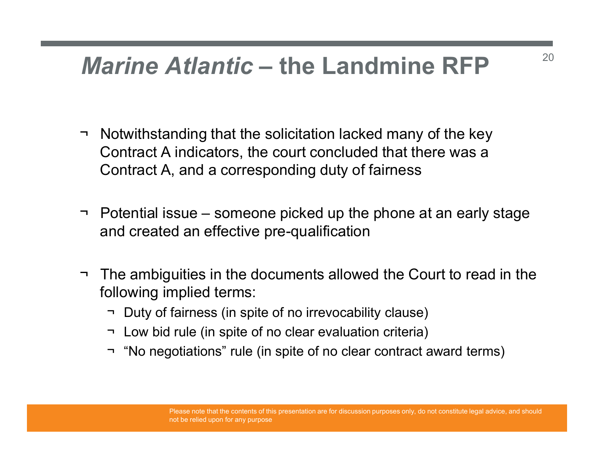### Marine Atlantic – the Landmine RFP

- **Marine Atlantic the Landmine RFP**<br>  $\rightarrow$  Notwithstanding that the solicitation lacked many of the key<br>
Contract A indicators, the court concluded that there was a<br>
Contract A, and a corresponding duty of fairness Contract A indicators, the court concluded that there was a Contract A, and a corresponding duty of fairness **Marine Atlantic – the Landmine RFP**<br>  $\rightarrow$  Notwithstanding that the solicitation lacked many of the key<br>
Contract A indicators, the court concluded that there was a<br>
Contract A, and a corresponding duty of fairness<br>  $\rightarrow$  → Notwithstanding that the solicitation lacked many of the key<br>Contract A indicators, the court concluded that there was a<br>Contract A, and a corresponding duty of fairness<br>→ Potential issue – someone picked up the phone a Notwithstanding that the solicitation lacked many of the key<br>
Contract A indicators, the court concluded that there was a<br>
Contract A, and a corresponding duty of fairness<br>
Potential issue – someone picked up the phone at Contract A indicators, the court concluded that there was a<br>Contract A, and a corresponding duty of fairness<br>Potential issue – someone picked up the phone at an early st<br>nd created an effective pre-qualification<br>The ambig
- and created an effective pre-qualification
- following implied terms: Contract A, and a corresponding duty of fairness<br>
Potential issue – someone picked up the phone at an early stage<br>
and created an effective pre-qualification<br>
The ambiguities in the documents allowed the Court to read in
	-
	-
	-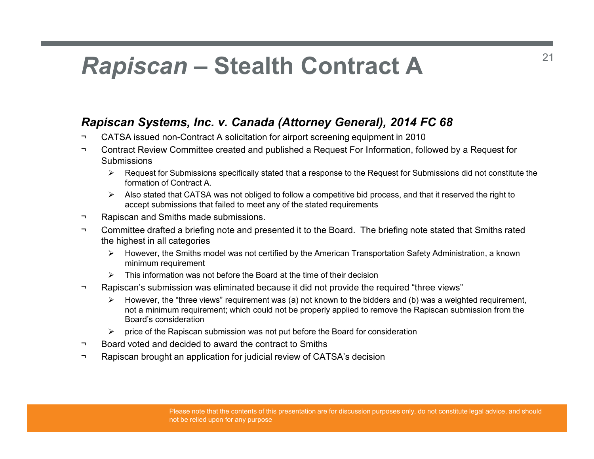# Rapiscan – Stealth Contract A Rapiscan Systems, Inc. v. Canada (Attorney General),<br>  $\sim$  CATSA issued non-Contract A solicitation for airport screening equipme<br>  $\sim$  Contract Review Committee created and published a Request For Inform<br>  $\geq$  Submissio

- 
- Rapiscan Systems, Inc. v. Canada (Attorney General), 2014 FC 68<br>
Rapiscan Systems, Inc. v. Canada (Attorney General), 2014 FC 68<br>
 CATSA issued non-Contract A solicitation for airport screening equipment in 2010<br>
 Contr **Rapiscan Systems, Inc. v. Canada (Attorney General), 2014 FC 68<br>
Prepiscan Systems, Inc. v. Canada (Attorney General), 2014 FC 68<br>
The CATSA issued non-Contract A solicitation for airport screening equipment in 2010<br>
The Provided and Scheme Contract A**<br> **Rapiscan Systems, Inc. v. Canada (Attorney General), 2014 FC 68**<br>
The CATSA issued non-Contract A solicitation for airport screening equipment in 2010<br>
The CATSA issued non-Contract A so **Submissions Also stated that CONTRACT**<br>
Accan Systems, Inc. v. Canada (Attorney General), 2014 FC 68<br>
ATSA issued non-Contract A solicitation for airport screening equipment in 2010<br>
Montract Review Committee created and published a
	- $\triangleright$  Request for Submissions specifically stated that a response to the Request for Submissions did not constitute the formation of Contract A.
	- accept submissions that failed to meet any of the stated requirements
- 
- **Rapiscan Systems, Inc. v. Canada (Attorney General), 2014 FC 68**<br>
A CATSA issued non-Contract A solicitation for airport screening equipment in 2010<br>
The CATSA issued non-Contract A solicitation for airport screening equ the highest in all categories
	- $\triangleright$  However, the Smiths model was not certified by the American Transportation Safety Administration, a known minimum requirement
	- $\triangleright$  This information was not before the Board at the time of their decision
- 
- **Rapiscan Systems, Inc. v. Canada (Attorney General), 2014 FC 68**<br>
TCATSA issued non-Contract A solicitation for airport screening equipment in 2010<br>
Contract Review Committee created and published a Request For Informati However, the "three views" requirement was (a) not known to the bidders and (b) was a weighted requirement, not a minimum requirement; which could not be properly applied to remove the Rapiscan submission from the Board's consideration A issued non-Contract A solicitation for airport screening equipment in 2010<br>
and the Rapide of trainmissions specifically stated that a response to the Request for Submissions did not constitute the prequest for Submissi Ontact Review Committee created and published a Request For Information, followed Submissions<br>
⇒ Request for Submissions specifically stated that a response to the Request for Submissi<br>
⇒ Mas stated that CATSA was not o Sourissions specifically stated that a response to the Request for Submissions did not constitute the<br>
formation of Contract A.<br>
Also stated that CATSA was not obliged to follow a competitive bid process, and that it r
	-
- 
-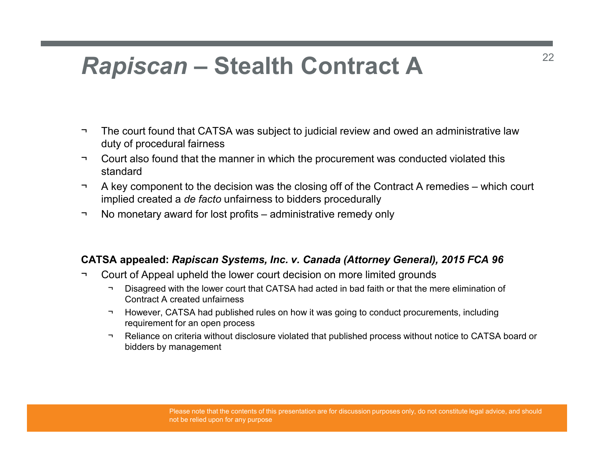# Rapiscan – Stealth Contract A

- Rapiscan Stealth Contract A<br>
The court found that CATSA was subject to judicial review and owed an administrative law<br>
The court found that CATSA was subject to judicial review and owed an administrative law<br>
The court a duty of procedural fairness
- standard
- **Rapiscan Stealth Contract A**<br>
The court found that CATSA was subject to judicial review and owed an administrative law<br>  $\frac{1}{2}$ <br>  $\frac{1}{2}$ <br>  $\frac{1}{2}$ <br>  $\frac{1}{2}$ <br>  $\frac{1}{2}$ <br>  $\frac{1}{2}$ <br>  $\frac{1}{2}$ <br>  $\frac{1}{2}$ <br>  $\frac{1}{2}$ <br> **Rapiscan – Stealth Contract A**<br>
The court found that CATSA was subject to judicial review and owed an administrative law<br>
duty of procedural fairness<br>
The court also found that the manner in which the procurement was con implied created a de facto unfairness to bidders procedurally Rapiscan — Stealth Contract A<br>
The court found that CATSA was subject to judicial review and owed an administrative lave<br>
out also found that the manner in which the procurement was conducted violated this<br>
standard<br>
A key The court found that CATSA was subject to judicial review and owed an administrative law<br>
duty of procedural fairness<br>
The court fuso found that the manner in which the procurement was conducted violated this<br>
standard<br>
Th The court found that CATSA was subject to judicial review and owed an administrative law<br>
duty of procedural fairness<br>
Tourt also found that the manner in which the procurement was conducted violated this<br>
standard<br>
The l The court found that CATSA was subject to judicial review and owed an administrative law<br>thy of procedural fairness<br>court also found that the manner in which the procurement was conducted violated this<br>tandard<br>key compone he court found that CATSA was subject to judicial review and owed an administrative law<br>tity of procedural fairness<br>ourt also found that the manner in which the procurement was conducted violated this<br>landard<br>wave componen uty of procedural fairness<br>
our also found that the manner in which the procurement was conducted violated this<br>
key component to the decision was the closing off of the Contract A remedies – which court<br>
pulled created a
- 

- - Contract A created unfairness
	- requirement for an open process
	- bidders by management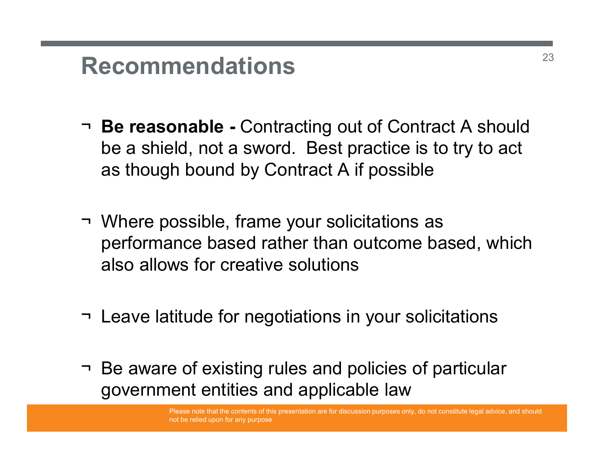### Recommendations

- ¬ Be reasonable Contracting out of Contract A should be a shield, not a sword. Best practice is to try to act as though bound by Contract A if possible **Example FRECOMMENT REGOMMENT SURFERENT SURFERENCEST SOMETHEREN SURFERENCES SOMETHEREN SURFERENCEST SOMETHEREN SURFERENCEST SURFERENCEST SURFERENCEST SURFERENCEST SURFERENCEST SURFERENCEST SURFERENCEST SURFERENCEST SURFER**
- performance based rather than outcome based, which also allows for creative solutions  $\overline{\phantom{a}}$  Be reasonable - Contracting out or Contract A should<br>be a shield, not a sword. Best practice is to try to act<br>as though bound by Contract A if possible<br> $\overline{\phantom{a}}$ <br>Where possible, frame your solicitations as<br>p → Where possible, frame your solicitations as<br>performance based rather than outcome based, which<br>also allows for creative solutions<br>→ Leave latitude for negotiations in your solicitations<br>→ Be aware of existing rules and
- 
- government entities and applicable law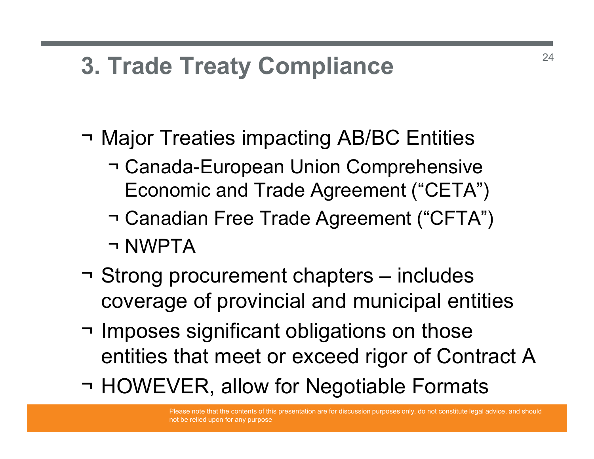### 3. Trade Treaty Compliance

- 
- **3. Trade Treaty Compliance**<br>
→ Major Treaties impacting AB/BC Entities<br>
→ Canada-European Union Comprehensive<br>
 Economic and Trade Agreement ("CETA") Trade Treaty Compliance<br>
Major Treaties impacting AB/BC Entities<br>
The Canada-European Union Comprehensive<br>
Economic and Trade Agreement ("CETA") Economic and Trade Agreement ("CETA")
	- Trade Treaty Compliance<br>
	Major Treaties impacting AB/BC Entities<br>
	→ Canada-European Union Comprehensive<br>
	Economic and Trade Agreement ("CETA")<br>
	→ Canadian Free Trade Agreement ("CFTA")<br>
	→ NWPTA Trade Treaty Complian<br>
	Major Treaties impacting AB/<br>
	T Canada-European Union Co<br>
	Economic and Trade Agreen<br>
	T Canadian Free Trade Agreen<br>
	T NWPTA<br>Strong procurement chapters
- → Major Treaties impacting AB/BC Entities<br>
→ Canada-European Union Comprehensive<br>
Economic and Trade Agreement ("CETA")<br>
→ Canadian Free Trade Agreement ("CFTA")<br>
→ NWPTA<br>
→ Strong procurement chapters includes<br>
coverag coverage of provincial and municipal entities
- → Canada-European Union Comprehensive<br>
Economic and Trade Agreement ("CETA")<br>
→ Canadian Free Trade Agreement ("CFTA")<br>
→ NWPTA<br>
→ Strong procurement chapters includes<br>
coverage of provincial and municipal entities<br>
→ I entities that meet or exceed rigor of Contract A → Canadian Free Trade Agreement ("CFTA")<br>→ NWPTA<br>→ Strong procurement chapters – includes<br>coverage of provincial and municipal entities<br>→ Imposes significant obligations on those<br>entities that meet or exceed rigor of Cont
-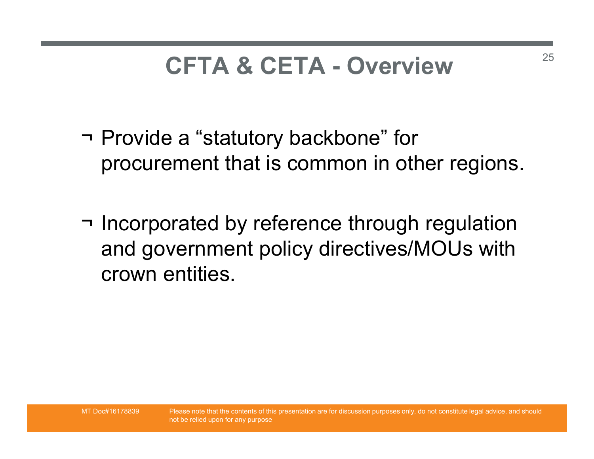# CFTA & CETA - Overview

- CFTA & CETA Overview<br>
The Provide a "statutory backbone" for<br>
procurement that is common in other registion procurement that is common in other regions.
- CFTA & CETA Overview<br>
→ Provide a "statutory backbone" for<br>
procurement that is common in other regions.<br>
→ Incorporated by reference through regulation<br>
and government policy directives/MOUs with<br>
crown entities and government policy directives/MOUs with crown entities.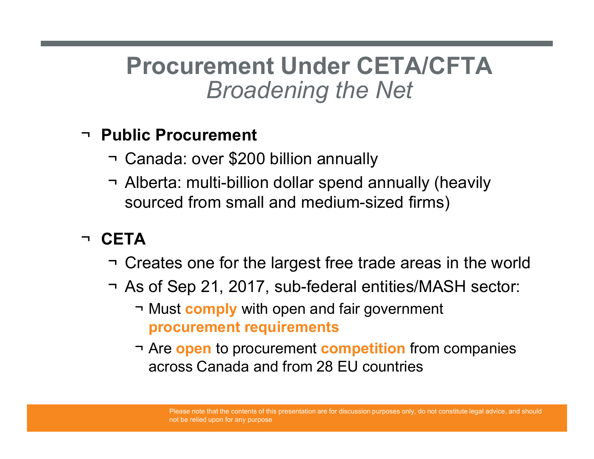### Procurement Under CETA/CFTA Broadening the Net Procurement Under CETA/CFTA<br>Broadening the Net<br>Public Procurement<br>The Canada: over \$200 billion annually<br>The Alberta: multi-billion dollar spend annually (heavily<br>sourced from small and medium-sized firms) **Procurement Under CETA/CFTA**<br> *Broadening the Net*<br> **• Canada: over \$200 billion annually**<br>
→ Alberta: multi-billion dollar spend annually (heavily<br>
sourced from small and medium-sized firms)<br>
→ ----

#### ¬ Public Procurement

- 
- sourced from small and medium-sized firms) Broadening the Net<br>
Public Procurement<br>
→ Canada: over \$200 billion annually<br>
→ Alberta: multi-billion dollar spend annually (heavily<br>
sourced from small and medium-sized firms)<br>
CETA<br>
→ Creates one for the largest free t **Procurement**<br>
→ Canada: over \$200 billion annually<br>
→ Alberta: multi-billion dollar spend annually (heavily<br>
sourced from small and medium-sized firms)<br>
CETA<br>
→ Creates one for the largest free trade areas in the world<br> ic Procurement<br>
Manada: over \$200 billion annually<br>
Iberta: multi-billion dollar spend annually (heavily<br>
ourced from small and medium-sized firms)<br>
A<br>
Freates one for the largest free trade areas in the words of Sep 21, Procurement<br>
nada: over \$200 billion annually<br>
erta: multi-billion dollar spend annually (heavily<br>
urced from small and medium-sized firms)<br>
pates one for the largest free trade areas in the<br>
of Sep 21, 2017, sub-federal e anada: over \$200 billion annually<br>
Iberta: multi-billion dollar spend annually (heavily<br>
ourced from small and medium-sized firms)<br>
A<br>
Freates one for the largest free trade areas in the world<br>
s of Sep 21, 2017, sub-fede

#### ¬ CETA

- 
- -
	- across Canada and from 28 EU countries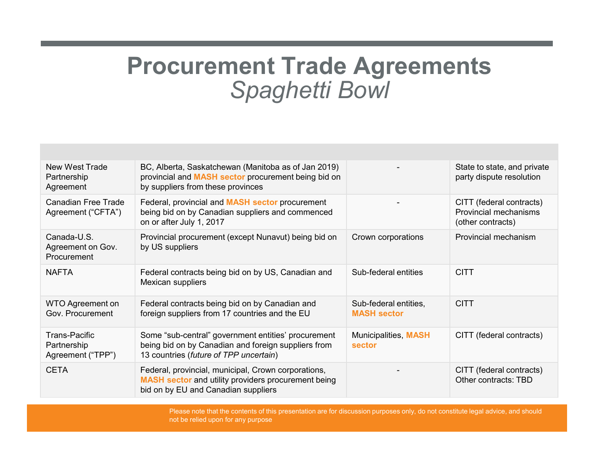### Procurement Trade Agreements Spaghetti Bowl

| <b>Procurement Trade Agreements</b><br><b>Spaghetti Bowl</b> |                                                                                                                                                      |                                             |                                                                        |  |  |  |  |
|--------------------------------------------------------------|------------------------------------------------------------------------------------------------------------------------------------------------------|---------------------------------------------|------------------------------------------------------------------------|--|--|--|--|
|                                                              |                                                                                                                                                      |                                             |                                                                        |  |  |  |  |
| <b>New West Trade</b><br>Partnership<br>Agreement            | BC, Alberta, Saskatchewan (Manitoba as of Jan 2019)<br>provincial and MASH sector procurement being bid on<br>by suppliers from these provinces      |                                             | State to state, and private<br>party dispute resolution                |  |  |  |  |
| <b>Canadian Free Trade</b><br>Agreement ("CFTA")             | Federal, provincial and <b>MASH sector</b> procurement<br>being bid on by Canadian suppliers and commenced<br>on or after July 1, 2017               |                                             | CITT (federal contracts)<br>Provincial mechanisms<br>(other contracts) |  |  |  |  |
| Canada-U.S.<br>Agreement on Gov.<br>Procurement              | Provincial procurement (except Nunavut) being bid on<br>by US suppliers                                                                              | Crown corporations                          | Provincial mechanism                                                   |  |  |  |  |
| <b>NAFTA</b>                                                 | Federal contracts being bid on by US, Canadian and<br>Mexican suppliers                                                                              | Sub-federal entities                        | <b>CITT</b>                                                            |  |  |  |  |
| <b>WTO Agreement on</b><br>Gov. Procurement                  | Federal contracts being bid on by Canadian and<br>foreign suppliers from 17 countries and the EU                                                     | Sub-federal entities,<br><b>MASH sector</b> | <b>CITT</b>                                                            |  |  |  |  |
| <b>Trans-Pacific</b><br>Partnership<br>Agreement ("TPP")     | Some "sub-central" government entities' procurement<br>being bid on by Canadian and foreign suppliers from<br>13 countries (future of TPP uncertain) | Municipalities, MASH<br>sector              | CITT (federal contracts)                                               |  |  |  |  |
| <b>CETA</b>                                                  | Federal, provincial, municipal, Crown corporations,<br><b>MASH sector and utility providers procurement being</b>                                    |                                             | CITT (federal contracts)<br>Other contracts: TBD                       |  |  |  |  |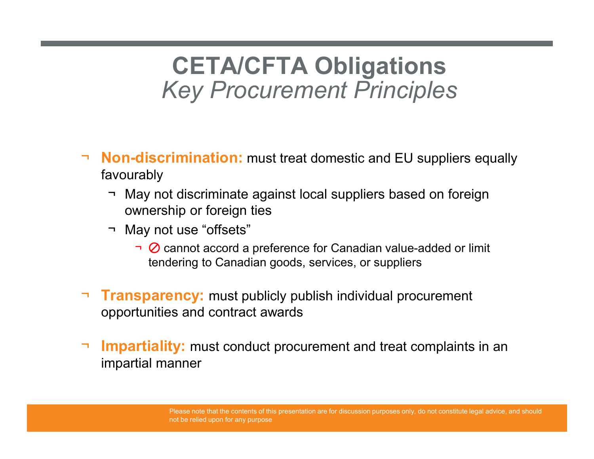## **CETA/CFTA Obligations<br>
Sey Procurement Principles** Key Procurement Principles **CETA/CFTA Obligations**<br> *Key Procurement Principles*<br> **lon-discrimination:** must treat domestic and EU suppliers equally<br>
The May not discriminate against local suppliers based on foreign<br>
The May not use "offsets"<br>
The M **CETA/CFTA Oblic**<br> *Key Procurement P*<br> **lon-discrimination:** must treat domestic a<br>
avourably<br>
The May not discriminate against local supplie<br>
May not use "offsets"<br>
The May not use "offsets"<br>
The May not use "offsets"<br>
T

- ¬ **Non-discrimination:** must treat domestic and EU suppliers equally favourably
	- ownership or foreign ties
	- - $\overline{\bullet}$  C cannot accord a preference for Canadian value-added or limit tendering to Canadian goods, services, or suppliers
- **Transparency:** must publicly publish individual procurement opportunities and contract awards
- **Impartiality:** must conduct procurement and treat complaints in an impartial manner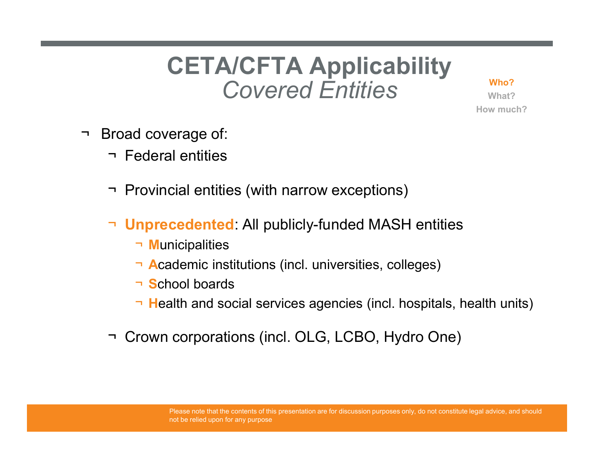### **CETA/CFTA Applicability**<br>Covered Entities Covered Entities **CETA/CFTA App**<br>Covered En<br>
Proad coverage of:<br>
Prederal entities CETA/CFTA Appli<br>Covered Entities<br>Provincial entities<br>The Provincial entities (with narrow excep CETA/CFTA Applicability<br>
Covered Entities<br>
Stroad coverage of:<br>
The Provincial entities<br>
Provincial entities (with narrow exceptions)<br>
The Unprecedented: All publicly-funded MASH entities



What? How much?

- -
	-
	- ¬ Unprecedented: All publicly-funded MASH entities → Federal entities<br>
	→ Provincial entities (with narrow exceptions)<br>
	→ **Unprecedented:** All publicly-funded MASH entities<br>
	→ **Municipalities**<br>
	→ **Academic institutions (incl. universities, colleges)**<br>
	→ **School boards**<br>
	→
		- ¬ Municipalities
		- ¬ Academic institutions (incl. universities, colleges)
		- ¬ School boards
		- ¬ Health and social services agencies (incl. hospitals, health units)
	-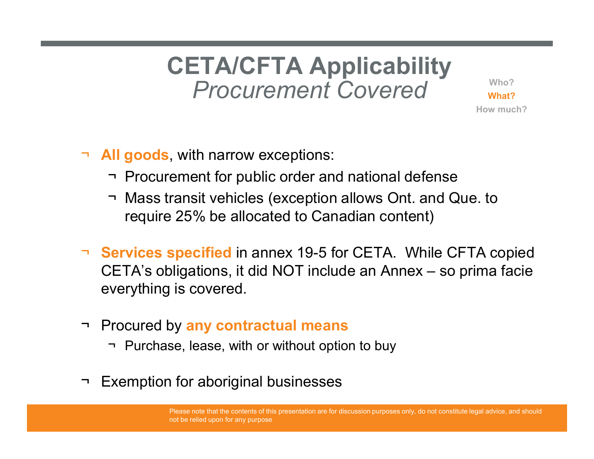## **CETA/CFTA Applicability**<br>Procurement Covered Procurement Covered **CETA/CFTA Applicability**<br>
Procurement Covered<br>
Now much?<br>
Now much?<br>
Now much?<br>
The Procurement for public order and national defense<br>
The Mass transit vehicles (exception allows Ont. and Que. to<br>
The Procurement for publ **CETA/CFTA Applicability**<br>
Procurement Covered<br>
Mass transit vehicles (exception allows Ont. and Que. to<br>
Procurement for public order and national defense<br>
Posts transit vehicles (exception allows Ont. and Que. to<br>
requir

- ¬ All goods, with narrow exceptions:
	-
	- require 25% be allocated to Canadian content)
- ¬ **Services specified** in annex 19-5 for CETA. While CFTA copied Procurement Covered<br>
Number of the state of the state of the state of the state of the state of the state of the ST-<br>
Mass transit vehicles (exception allows Ont, and Que, to<br>
require 25% be allocated to Canadian content)<br> everything is covered. → **All goods**, with narrow exceptions:<br>
→ Procurement for public order and national defense<br>
→ Mass transit vehicles (exception allows Ont. and Que<br>
require 25% be allocated to Canadian content)<br>
→ **Services specified** in ¬ Procurement for public order and national defense<br>¬ Mass transit vehicles (exception allows Ont. and Que. to<br>require 25% be allocated to Canadian content)<br>
Services specified in annex 19-5 for CETA. While CFTA cop<br>
Serv → Mass transit vehicles (exception allows Ont. and C<br>require 25% be allocated to Canadian content)<br>
→ **Services specified** in annex 19-5 for CETA. While C<br>CETA's obligations, it did NOT include an Annex – so<br>
everything i
- -
-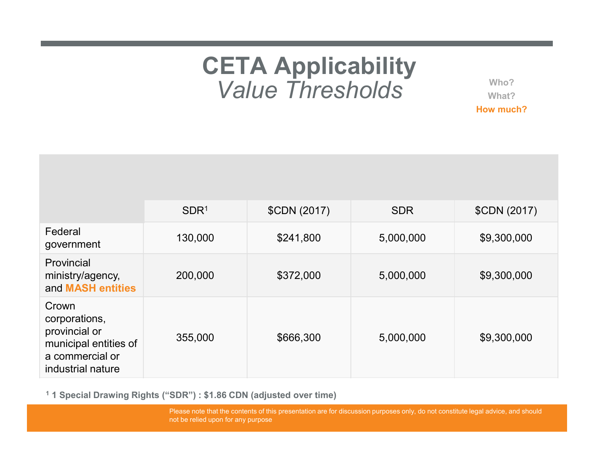### CETA Applicability Value Thresholds

|                                                                                                          |                  | <b>CETA Applicability</b><br><b>Value Thresholds</b> |            |              |
|----------------------------------------------------------------------------------------------------------|------------------|------------------------------------------------------|------------|--------------|
|                                                                                                          |                  |                                                      |            |              |
|                                                                                                          | SDR <sup>1</sup> | \$CDN (2017)                                         | <b>SDR</b> | \$CDN (2017) |
| Federal<br>government                                                                                    | 130,000          | \$241,800                                            | 5,000,000  | \$9,300,000  |
| Provincial<br>ministry/agency,<br>and MASH entities                                                      | 200,000          | \$372,000                                            | 5,000,000  | \$9,300,000  |
| Crown<br>corporations,<br>provincial or<br>municipal entities of<br>a commercial or<br>industrial nature | 355,000          | \$666,300                                            | 5,000,000  | \$9,300,000  |

1 1 Special Drawing Rights ("SDR") : \$1.86 CDN (adjusted over time)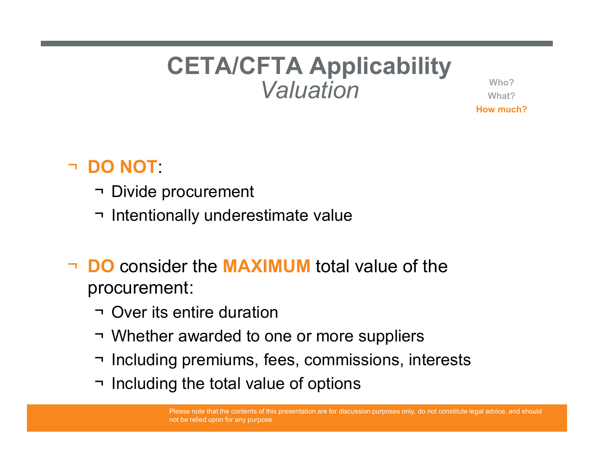## **CETA/CFTA Applicability** Valuation CETA/CFTA App<br>Valuation<br>Po NOT:<br>Thistoprocurement<br>Thistoprocurement<br>Thistoprocurement **CETA/CFTA Applicability**<br>Valuation<br>DO NOT:<br>Thentionally underestimate value<br>PO consider the MAXIMUM total value of the

Who? What? How much?

#### ¬ DO NOT:

- 
- 
- DO consider the MAXIMUM total value of the procurement: OO NOT:<br>
→ Divide procurement<br>
→ Intentionally underestimate value<br>
DO consider the MAXIMUM total value<br>
→ Over its entire duration<br>
→ Whether awarded to one or more supplie<br>
→ Including premiums, fees, commissions, → Divide procurement<br>→ Intentionally underestimate value<br>
→ Intentionally underestimate value<br>
DO consider the MAXIMUM total value of the<br>
→ Over its entire duration<br>
→ Whether awarded to one or more suppliers<br>
→ Includin → Divide procurement<br>
→ Intentionally underestimate value<br>
DO consider the MAXIMUM total value of the<br>
procurement:<br>
→ Over its entire duration<br>
→ Whether awarded to one or more suppliers<br>
→ Including premiums, fees, comm → Intentionally underestimate value<br>
→ Intentionally underestimate value<br>
→ Over its entire duration<br>
→ Over its entire duration<br>
→ Whether awarded to one or more suppliers<br>
→ Including premiums, fees, commissions, intere
	-
	-
	-
	-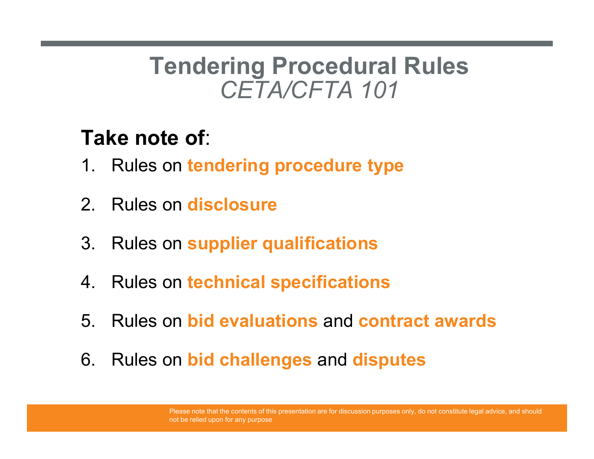### Tendering Procedural Rules Ting Procedural Rules Tendering Procedural Rules<br>
CETA/CFTA 101<br>
Take note of:<br>
1. Rules on tendering procedure type<br>
2. Rules on disclosure **2. Tendering Procedural<br>Take note of:**<br>Take note of:<br>2. Rules on tendering procedure type<br>2. Rules on disclosure<br>3. Rules on supplier qualifications Tendering Procedural Rules<br>
CETA/CFTA 101<br>
Take note of:<br>
1. Rules on tendering procedure type<br>
2. Rules on disclosure<br>
3. Rules on supplier qualifications<br>
4. Rules on technical specifications

### Take note of:

- 
- 
- 
- 
- CETA/CETA TOT<br> **Take note of:**<br>
1. Rules on tendering procedure type<br>
2. Rules on disclosure<br>
3. Rules on supplier qualifications<br>
4. Rules on technical specifications<br>
5. Rules on bid evaluations and contract awards Take note of:<br>1. Rules on tendering procedure type<br>2. Rules on disclosure<br>3. Rules on supplier qualifications<br>4. Rules on technical specifications<br>5. Rules on bid evaluations and contract awards<br>6. Rules on bid challenges
- F. Rules on disclosure<br>
1. Rules on disclosure<br>
1. Rules on supplier qualifications<br>
4. Rules on technical specifications<br>
5. Rules on bid evaluations and contract<br>
6. Rules on bid challenges and disputes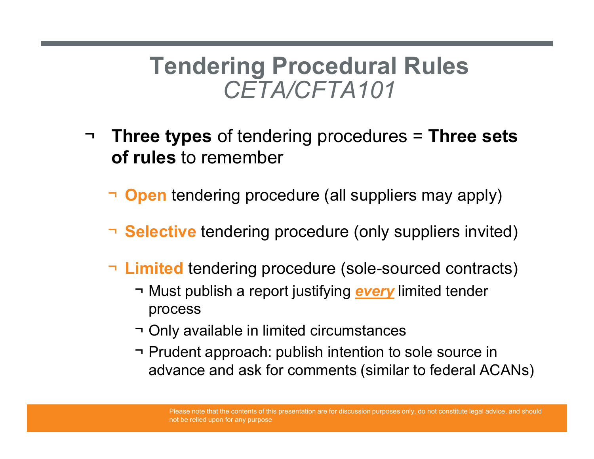### Tendering Procedural Rules CETA/CFTA101

- ¬ Three types of tendering procedures = Three sets of rules to remember **The Example School School School School School School School Schools and School School Spen tendering procedure (all suppliers may apply)<br>
elective tendering procedure (only suppliers invited)<br>
intited tendering procedure** 
	- $\neg$  **Open** tendering procedure (all suppliers may apply)
	- ¬ **Selective** tendering procedure (only suppliers invited)
	- ¬ Limited tendering procedure (sole-sourced contracts)
		- process
		-
- **Transport Confirming procedures Transe sets**<br> **rules** to remember<br> **ignorically** available in suppliers may apply)<br> **elective** tendering procedure (only suppliers invited)<br> **imited** tendering procedure (sole-sourced con **pen** tendering procedure (all suppliers may apply)<br> **elective** tendering procedure (only suppliers invited)<br> **imited** tendering procedure (sole-sourced contracts)<br>
¬ Must publish a report justifying <u>every</u> limited tender advance and ask for comments (similar to federal ACANs)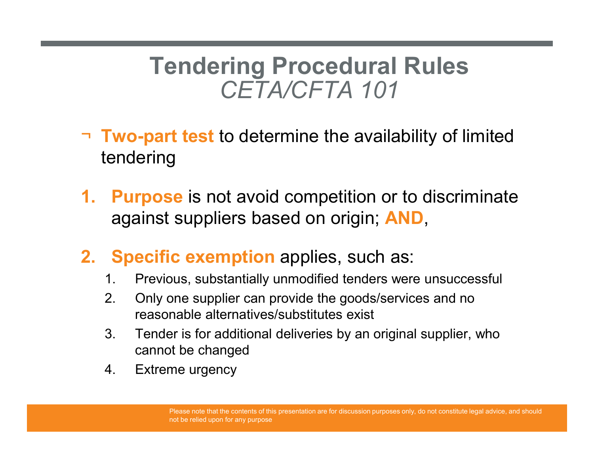# Tendering Procedural Rules<br>CETA/CFTA 101 Ting Procedural Rules<br>CETA/CFTA 101<br>to determine the availability of limited

- ¬ Two-part test to determine the availability of limited tendering
- Tendering Procedural Rules<br>CETA/CFTA 101<br>Two-part test to determine the availability of limited<br>tendering<br>1. Purpose is not avoid competition or to discriminate<br>against suppliers based on origin; AND, against suppliers based on origin; AND, **2.** CETA/CFTA 101<br> **2.** Specific exemption applies, such as:<br>
1. Purpose is not avoid competition or to discrim<br>
against suppliers based on origin; AND,<br>
2. Specific exemption applies, such as:<br>
1. Previous, substantiall  $C \rightarrow C + I \rightarrow A$  101<br> **Two-part test** to determine the availability of limited<br>
endering<br> **Purpose** is not avoid competition or to discriminate<br>
against suppliers based on origin; **AND**,<br> **Specific exemption** applies, such as: **Two-part test to determine the availability of limited**<br> **Purpose** is not avoid competition or to discriminate<br>
against suppliers based on origin; **AND**,<br> **Specific exemption** applies, such as:<br>
1. Previous, substantially **EXECTS FOR ADDETERT CONCRETERTS CONSTRERED FOR ADDETERTIZED PUPPOSE** is not avoid competition or to discriminate against suppliers based on origin; **AND**,<br>**Specific exemption** applies, such as:<br>1. Previous, substantially **Purpose** is not avoid competition<br>against suppliers based on origin;<br>**Specific exemption** applies, such<br>1. Previous, substantially unmodified tender<br>2. Only one supplier can provide the goods/<br>reasonable alternatives/subs
- -
	- reasonable alternatives/substitutes exist
	- cannot be changed
	-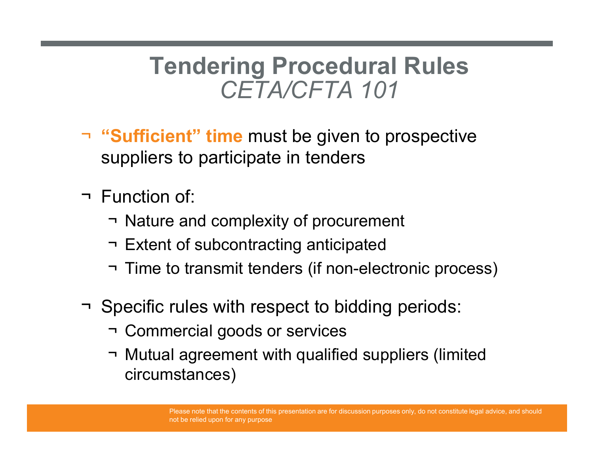## Tendering Procedural Rules Ting Procedural Rules<br>CETA/CFTA 101<br>me must be given to prospective Tendering Procedural Rules<br>
CETA/CFTA 101<br>
Sufficient" time must be given to prospective<br>
uppliers to participate in tenders<br>
Function of:<br>
Thature and complexity of procurement<br>
The to transmit tenders (if non-electronic **France CETA/CFTA 101**<br>
For Sufficient" time must be given to prospective<br>
suppliers to participate in tenders<br>
Function of:<br>
→ Nature and complexity of procurement<br>
→ Extent of subcontracting anticipated<br>
→ Time to trans

- ¬ "Sufficient" time must be given to prospective suppliers to participate in tenders Tendering Proced<br>CETA/CFTA<br>Tendering must be give<br>suppliers to participate in tender<br>Tendering of:<br>That and complexity of procedration<br>Textent of subcontracting anticipation  $CETA/CFTA 101$ <br> **Sufficient**" **time** must be given to prospective<br>
uppliers to participate in tenders<br>
Tunction of:<br>
That and complexity of procurement<br>
The to transmit tenders (if non-electronic process)<br>
Specific rules wit → "**Sufficient**" time must be given to prospective<br>suppliers to participate in tenders<br>
→ Function of:<br>
→ Nature and complexity of procurement<br>
→ Extent of subcontracting anticipated<br>
→ Time to transmit tenders (if non-el
- -
	-
	-
- -
- Sumclemental diverting must be given to prospect<br>
suppliers to participate in tenders<br>
Tunction of:<br>
→ Nature and complexity of procurement<br>
→ Extent of subcontracting anticipated<br>
→ Time to transmit tenders (if non-elect Eunction of:<br>
→ Nature and complexity of procurement<br>
→ Extent of subcontracting anticipated<br>
→ Time to transmit tenders (if non-electronic process)<br>
Specific rules with respect to bidding periods:<br>
→ Commercial goods or circumstances)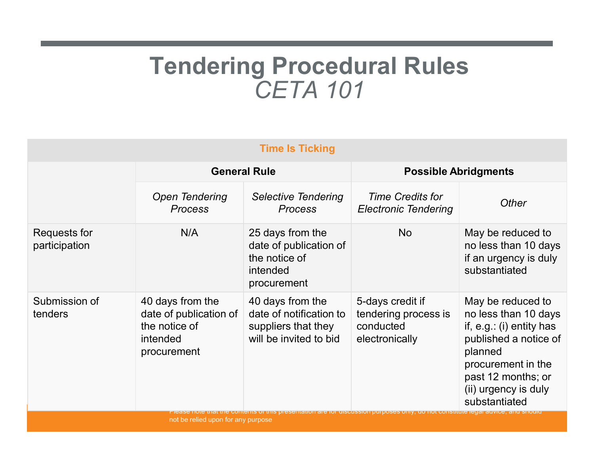### Tendering Procedural Rules **CETA 101**

|                                      |                                                              | <b>Tendering Procedural Rules</b><br><b>CETA 101</b>                                                                                                                                                                                                                   |                                                                         |                                                                                                                                                                                                  |
|--------------------------------------|--------------------------------------------------------------|------------------------------------------------------------------------------------------------------------------------------------------------------------------------------------------------------------------------------------------------------------------------|-------------------------------------------------------------------------|--------------------------------------------------------------------------------------------------------------------------------------------------------------------------------------------------|
|                                      |                                                              | <b>Time Is Ticking</b>                                                                                                                                                                                                                                                 |                                                                         |                                                                                                                                                                                                  |
|                                      | <b>General Rule</b>                                          |                                                                                                                                                                                                                                                                        | <b>Possible Abridgments</b>                                             |                                                                                                                                                                                                  |
|                                      | <b>Open Tendering</b><br><b>Process</b>                      | <b>Selective Tendering</b><br><b>Process</b>                                                                                                                                                                                                                           | <b>Time Credits for</b><br><b>Electronic Tendering</b>                  | Other                                                                                                                                                                                            |
| <b>Requests for</b><br>participation | N/A                                                          | 25 days from the<br>date of publication of<br>the notice of<br>intended<br>procurement                                                                                                                                                                                 | <b>No</b>                                                               | May be reduced to<br>no less than 10 days<br>if an urgency is duly<br>substantiated                                                                                                              |
| Submission of<br>tenders             | 40 days from the<br>the notice of<br>intended<br>procurement | 40 days from the<br>date of publication of $\vert$ date of notification to $\vert$<br>suppliers that they<br>will be invited to bid<br>Please note that the contents of this presentation are for discussion purposes only, do not constitute legal advice, and should | 5-days credit if<br>tendering process is<br>conducted<br>electronically | May be reduced to<br>no less than 10 days<br>if, $e.g.:$ (i) entity has<br>published a notice of<br>planned<br>procurement in the<br>past 12 months; or<br>(ii) urgency is duly<br>substantiated |

not be relied upon for any purpose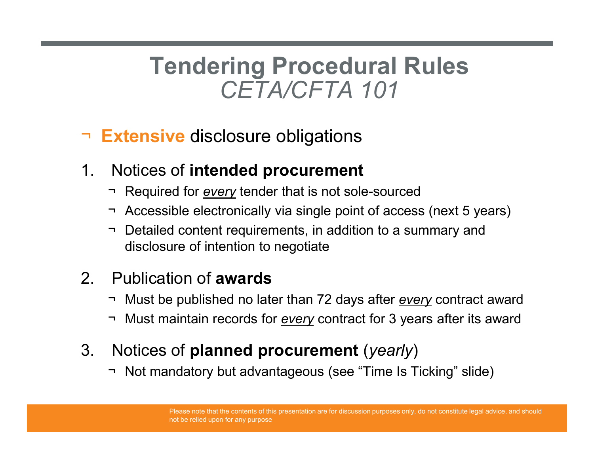### Tendering Procedural Rules Ting Procedural Rules<br>CETA/CFTA 101<br>closure obligations Tendering Procedural Rul<br>CETA/CFTA 101<br>- Extensive disclosure obligations<br>1. Notices of intended procurement<br>- Required for <u>every</u> tender that is not sole-sourced<br>- Accessible electronically via single point of access (n Tendering Procedural Rules<br>
CETA/CFTA 101<br>
Extensive disclosure obligations<br>
Notices of intended procurement<br>
Thequired for every tender that is not sole-sourced<br>
Thecasible electronically via single point of access (next Tendering Procedural Rules<br>
CETA/CFTA 101<br>
Extensive disclosure obligations<br>
Notices of intended procurement<br>
→ Required for <u>every</u> tender that is not sole-sourced<br>
→ Accessible electronically via single point of access Tendering Procedural Rules<br>
CETA/CFTA 101<br>
Extensive disclosure obligations<br>
Notices of intended procurement<br>
Trequired for <u>every</u> tender that is not sole-sourced<br>
Trequired for <u>every</u> tender that is not sole-sourced<br>
Tr

#### □ Extensive disclosure obligations

- 
- 
- disclosure of intention to negotiate 2. Publication of awards  $C \rightarrow M \rightarrow N$ <br>
2. Publication of awards and the publications<br>
2. Publication of awards and sole-sour<br>
2. Publication of awards<br>
2. Publication of awards<br>
2. Publication of awards<br>
2. Must be publishe **Extensive disclosure obligations**<br>
Notices of **intended procurement**<br>  $\rightarrow$  Required for <u>every</u> tender that is not sole-sourced<br>  $\rightarrow$  Accessible electronically via single point of access (next 5 years)<br>  $\rightarrow$  Detailed con **Extensive disclosure obligations**<br>
Notices of **intended procurement**<br>
Thequired for <u>every</u> tender that is not sole-sourced<br>
Thecords for exersible electronically via single point of access (next 5 years)<br>
The Detailed c 1. Notices of **intended procurement**<br>
→ Required for <u>every</u> tender that is not sole-sourced<br>
→ Accessible electronically via single point of access (next 5 yea<br>
→ Detailed content requirements, in addition to a summary → Required for <u>every</u> tender that is not sole-sourced<br>
→ Accessible electronically via single point of access (next 5 yea<br>
→ Detailed content requirements, in addition to a summary and<br>
disclosure of intention to negoti

- 
-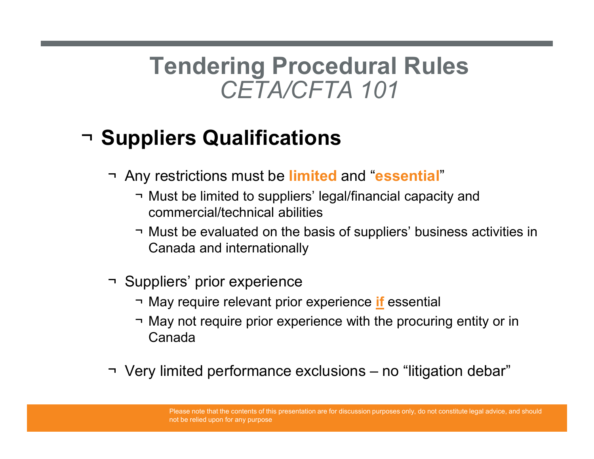### Tendering Procedural Rules Ting Procedural Rules<br>CETA/CFTA 101<br>ualifications Tendering Procedural Rules<br>
CETA/CFTA 101<br>
Suppliers Qualifications<br>
The Any restrictions must be limited and "essential"<br>
Thust be limited to suppliers' legal/financial capacity and<br>
commercial/technical abilities Tendering Procedural Rules<br>
CETA/CFTA 101<br>
pliers Qualifications<br>
my restrictions must be limited and "essential"<br>
- Must be limited to suppliers' legal/financial capacity and<br>
- Must be evaluated on the basis of suppliers **Tendering Procedural Rules**<br>
CETA/CFTA 101<br>
ppliers Qualifications<br>
my restrictions must be limited and "essential"<br>
Thust be limited to suppliers' legal/financial capacity and<br>
commercial/technical abilities<br>
Thus be eva

### ¬ Suppliers Qualifications

- 
- commercial/technical abilities **Suppliers Qualifications**<br>
The AVCF 7 A 101<br>
The Suppliers Qualifications<br>
The Must be limited to suppliers' legal/financial capacommercial/technical abilities<br>
Thus be evaluated on the basis of suppliers' bused<br>
Canada
- Canada and internationally **ppliers Qualifications**<br>
my restrictions must be limited and "essential"<br>
→ Must be limited to suppliers' legal/financial capacity and<br>
— Must be evaluated on the basis of suppliers' business activities in<br>
— Must be eva → Must be limited to suppliers' legal/financial capacity and<br>
→ Must be evaluated on the basis of suppliers' business activities in<br>
→ Must be evaluated on the basis of suppliers' business activities in<br>
→ Must require re
- -
- **ppliers Qualifications**<br>
my restrictions must be limited and "essential"<br>
→ Must be limited to suppliers' legal/financial capacity and<br>
← Must be evaluated on the basis of suppliers' business acti<br>
Canada and internation Canada
-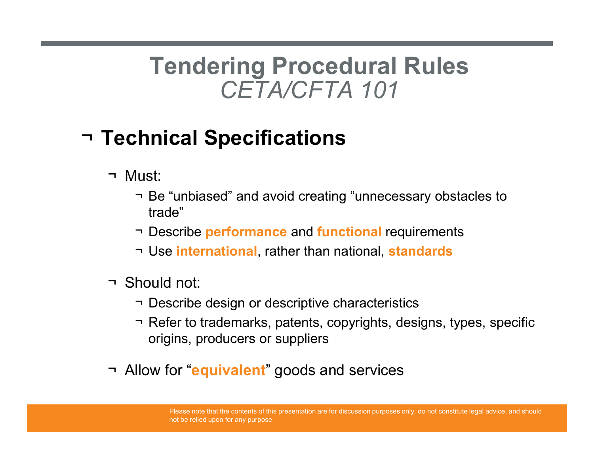### Tendering Procedural Rules Ting Procedural Rules<br>CETA/CFTA 101<br>pecifications Tendering Procedui<br>CETA/CFTA 1<br>Technical Specifications<br>
¬ Must:<br>
¬ Be "unbiased" and avoid creating "unitrade" Tendering Procedural Rules<br>
CETA/CFTA 101<br>
Sust:<br>
Histical Specifications<br>
Histical Creating "unnecessary obstacles to<br>
The "unbiased" and avoid creating "unnecessary obstacles to<br>
Thescribe performance and functional requ Tendering Procedural Rules<br>
CETA/CFTA 101<br>
Sust:<br>
Horical Specifications<br>
<br>
Houst:<br>
The "unbiased" and avoid creating "unnecessary obstacles to<br>
The "unbiased" and avoid creating "unnecessary obstacles to<br>
The internationa Tendering Procedural Rules<br>
CETA/CFTA 101<br>
shinical Specifications<br>
lust:<br>
¬ Be "unbiased" and avoid creating "unnecessary obstacles to<br>
trade"<br>
¬ Describe performance and functional requirements<br>
¬ Use international, rath

### ¬ Technical Specifications

- 
- trade" CETA/CFTAT<br>
Fechnical Specifications<br>
Thust:<br>
The "unbiased" and avoid creating "un<br>
trade"<br>
The performance and function<br>
The international, rather than nation<br>
The international, rather than nation<br>
The Should not:<br>
The  $\neg$  Be "unbiased" and avoid creating "unneces<br>  $\neg$  Describe **performance** and **functional** req<br>  $\neg$  Use **international**, rather than national, sta<br>  $\neg$  Should not:<br>  $\neg$  Describe design or descriptive characteristi<br>
	-
	-
- -
- **hnical Specifications**<br>
 Be "unbiased" and avoid creating "unnecessary obstacles to<br>
 Describe performance and functional requirements<br>
 Use international, rather than national, standards<br>
hould not:<br>
 Describe design **hnical Specifications**<br>
Iust:<br>
→ Be "unbiased" and avoid creating "unnecessary obstacles to<br>
trade"<br>
→ Describe **performance** and functional requirements<br>
→ Use international, rather than national, standards<br>
hould not:<br> origins, producers or suppliers
-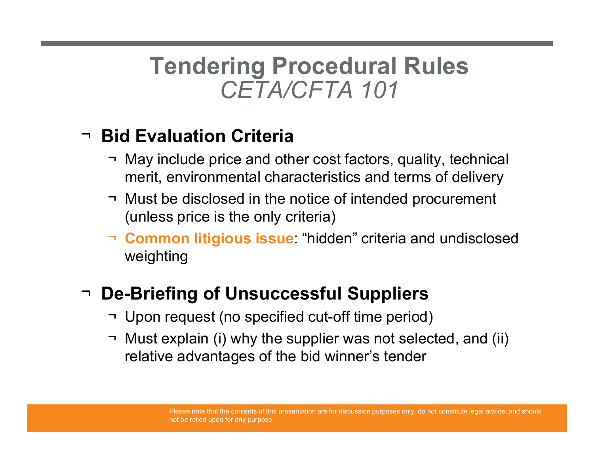### Tendering Procedural Rules Ting Procedural Rules<br>CETA/CFTA 101<br>n Criteria Tendering Procedural Rules<br>
CETA/CFTA 101<br>
May include price and other cost factors, quality, technical<br>
→ May include price and other cost factors, quality, technical<br>
→ Must be disclosed in the notice of intended procur Tendering Procedural Rules<br>
CETA/CFTA 101<br>
Sid Evaluation Criteria<br>
→ May include price and other cost factors, quality, technical<br>
merit, environmental characteristics and terms of delivery<br>
→ Must be disclosed in the no

#### ¬ Bid Evaluation Criteria

- merit, environmental characteristics and terms of delivery
- (unless price is the only criteria)
- ¬ Common litigious issue: "hidden" criteria and undisclosed weighting ¬ May include price and other cost factors, quality, technical<br>merit, environmental characteristics and terms of delivery<br>¬ Must be disclosed in the notice of intended procurement<br>(unless price is the only criteria)<br>¬ **Co**

#### ¬ De-Briefing of Unsuccessful Suppliers

- 
- Gid Evaluation Criteria<br>
→ May include price and other cost factors, quality, technical<br>
merit, environmental characteristics and terms of delivery<br>
→ Must be disclosed in the notice of intended procurement<br>
(unless price relative advantages of the bid winner's tender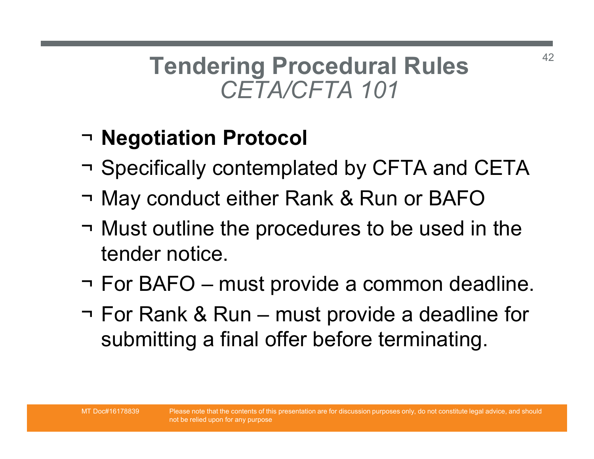# Tendering Procedural Rules Ting Procedural Rules Tendering Procedural Rules<br>
CETA/CFTA 101<br>
→ Negotiation Protocol<br>
→ Specifically contemplated by CFTA and CETA<br>
→ May conduct either Rank & Run or BAFO

### ¬ Negotiation Protocol

- 
- 
- Tendering Procedural Rules<br>
CETA/CFTA 101<br>
→ Negotiation Protocol<br>
→ Specifically contemplated by CFTA and CETA<br>
→ May conduct either Rank & Run or BAFO<br>
→ Must outline the procedures to be used in the **Tendering Procedural Rules**<br>
CETA/CFTA 101<br> **The procedure of the procedures of the procedures of ATA**<br> **The procedures to be used in the the procedures to be used in the tender notice.**<br> **The PAEQ procedures to be used** tender notice. → **Negotiation Protocol**<br>
→ **Specifically contemplated by CFTA and CETA**<br>
→ May conduct either Rank & Run or BAFO<br>
→ Must outline the procedures to be used in the<br>
tender notice.<br>
→ For BAFO – must provide a common deadl
- 
- ¬ **Negotiation Protocol**<br>¬ Specifically contemplated by CFTA and CETA<br>¬ May conduct either Rank & Run or BAFO<br>¬ Must outline the procedures to be used in the<br>tender notice.<br>¬ For BAFO must provide a common deadline.<br>¬ F submitting a final offer before terminating.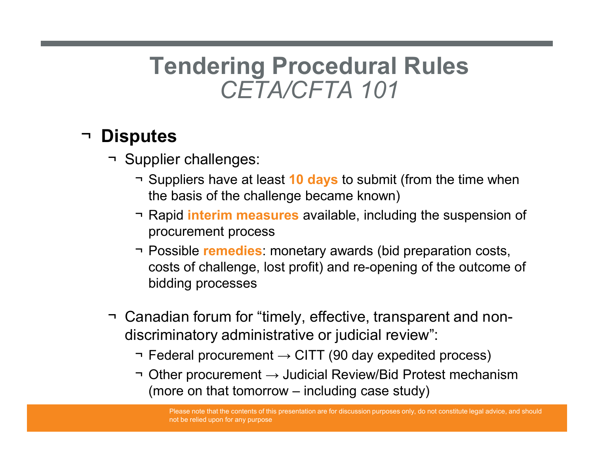### Tendering Procedural Rules Ting Procedural Rules<br>CETA/CFTA 101 Tendering Procedui<br>
CETA/CFTA 1<br>
Disputes<br>
The Supplier challenges:<br>
The Suppliers have at least 10 days to suppliers have at least 10 days to suppliers have at least 20 days to suppliers. Tendering Procedural Rules<br>
CETA/CFTA 101<br>
Dutes<br>
upplier challenges:<br>
¬ Suppliers have at least 10 days to submit (from the time when<br>
the basis of the challenge became known)<br>
¬ Rapid interim measures available, includin Tendering Procedural Rules<br>
CETA/CFTA 101<br>
putes<br>
upplier challenges:<br>
¬ Suppliers have at least 10 days to submit (from the time when<br>
the basis of the challenge became known)<br>
¬ Rapid interim measures available, includin

#### ¬ Disputes

- - the basis of the challenge became known)
	- procurement process
- **Tendering Procedural Rules**<br>
CETA/CFTA 101<br>
putes<br>
upplier challenges:<br>
The Suppliers have at least 10 days to submit (from the time when<br>
the basis of the challenge became known)<br>
The Rapid interim measures available, in costs of challenge, lost profit) and re-opening of the outcome of bidding processes **Supplier challenges:**<br>
→ Suppliers have at least 10 days to submit (from the time whe<br>
the basis of the challenge became known)<br>
→ Rapid interim measures available, including the suspension<br>
procurement process<br>
→ Possib  $\neg$  Supplier challenges.<br>  $\neg$  Suppliers have at least 10 days to submit (from the time when<br>  $\neg$  Rapid **interim measures** available, including the suspension of<br>  $\neg$  Possible **remedies**: monetary awards (bid preparati • Suppliers have at least **10 days** to submitt (from the time when the basis of the challenge became known)<br>
→ Rapid **interim measures** available, including the suspension of procurement process<br>
→ Possible **remedies**: Rapid **interim measures** available, including the suspension of<br>procurement process<br>Possible **remedies**: monetary awards (bid preparation costs,<br>costs of challenge, lost profit) and re-opening of the outcome of<br>bidding pr
- discriminatory administrative or judicial review":
	-
	-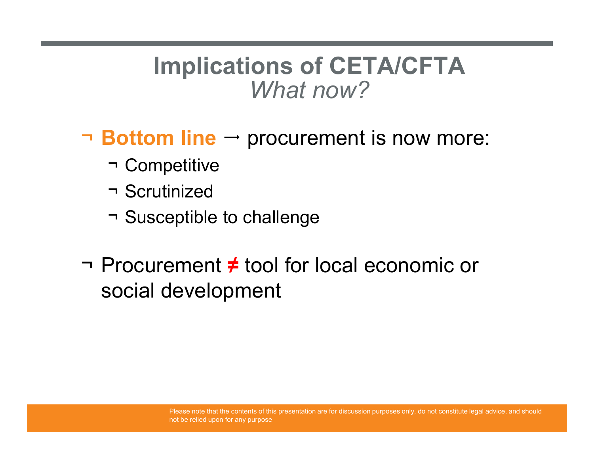### Implications of CETA/CFTA What now? **Implications of CET**<br>What now?<br>**Bottom line**  $\rightarrow$  procurement<br> $\rightarrow$  Competitive<br> $\rightarrow$  Susceptible to challenge Musications of CET<br>What now?<br>Notion line → procurement<br>The Scrutinized<br>The Susceptible to challenge **Implications of CETA/CFT**<br>
What now?<br> **Bottom line**  $\rightarrow$  procurement is now n<br>  $\rightarrow$  Competitive<br>  $\rightarrow$  Scrutinized<br>  $\rightarrow$  Susceptible to challenge<br>
Procurement  $\neq$  tool for local economic

- $\neg$  Bottom line  $\neg$  procurement is now more:
	-
	-
	-
- $What now?$ <br>
→ **Bottom line** → procurement is now more:<br>
→ Competitive<br>
→ Scrutinized<br>
→ Susceptible to challenge<br>
→ Procurement  $\neq$  tool for local economic or social development social development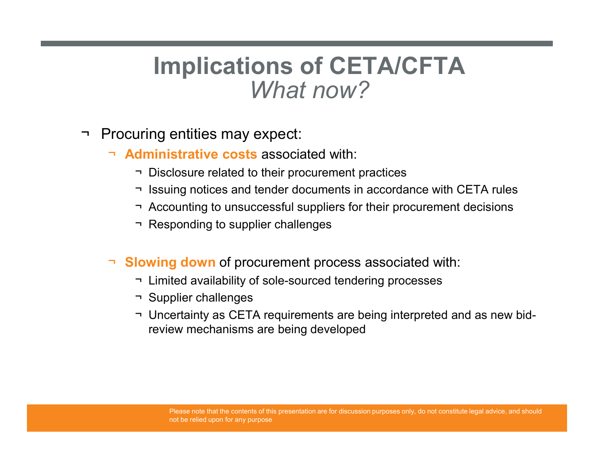### Implications of CETA/CFTA What now? **Implications of CE**<br>What now?<br>Procuring entities may expect:<br>Administrative costs associated with:<br>Pisclosure related to their procurement p ¬ Disclosure related to their procurement practices ¬ Issuing notices and tender documents in accordance with CETA rules **Implications of CETA/CFTA**<br>
What now?<br>
What now?<br>
<br>
This discussive related to their procurement practices<br>
This is and tender documents in accordance with CETA rules<br>
This discussive related to unsuccessful suppliers for Implications of CETA/CFT<br>
What now?<br>
uring entities may expect:<br>
dministrative costs associated with:<br>
This Disclosure related to their procurement practices<br>
This Accounting to unsuccessful suppliers for their procurement

- - ¬ Administrative costs associated with:
		-
		-
		-
		-
	- ¬ Slowing down of procurement process associated with:
		-
		-
- WYDER INDENT:<br>
UNITELNTIFF UNITELNTIFF VIOLET AT US-<br>
This United Available and tender documents in accordance with CETA rules<br>
The Society of Sole-sourced tendering processes<br>
The Society of Sole-Sourced tendering process The profiles may expect:<br> **Contributed Contributed Suppliers and tender of contributed A**<br>
This issuing notices and tender documents in accom<br>
The Accounting to unsuccessful suppliers for their<br>
The Responding to supplier The profilest may expect:<br> **CETA rules**<br>
This discussive related to their procurement practices<br>
This issuing notices and tender documents in accordance with CETA rules<br>
This Accounting to unsuccessful suppliers for their review mechanisms are being developed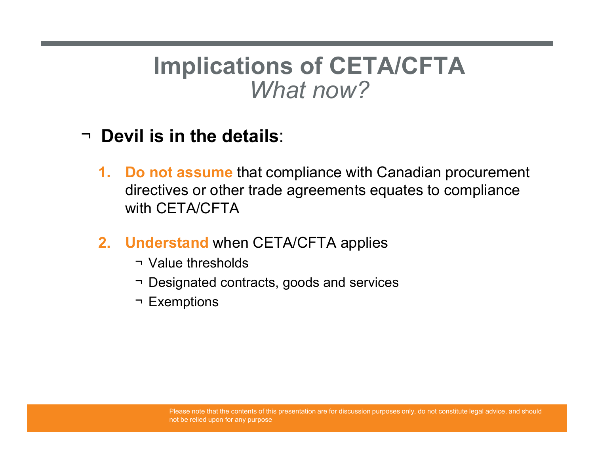### Implications of CETA/CFTA What now?

#### ¬ Devil is in the details:

- **Implications of CETA/CFTA**<br> *What now?*<br>
Devil is in the details:<br>
1. Do not assume that compliance with Canadian procurement<br>
directives or other trade agreements equates to compliance<br>
with CETA/CFTA directives or other trade agreements equates to compliance with CETA/CFTA Implications of CETA/CFTA<br>
What now?<br>
Devil is in the details:<br>
1. Do not assume that compliance with Canadian procurement<br>
directives or other trade agreements equates to compliance<br>
with CETA/CFTA<br>
2. Understand when CET What now?<br>
il is in the details:<br> **Solution** that compliance with Cairectives or other trade agreements equality<br>
in CETA/CFTA<br> **Inderstand** when CETA/CFTA applies<br>
The Value thresholds<br>
The Designated contracts, goods and WITEL TIOW ?<br> **il is in the details:**<br> **io not assume** that compliance with Canadian procureme<br>
irectives or other trade agreements equates to compliance<br>
tith CETA/CFTA<br> **nderstand** when CETA/CFTA applies<br>
The Value thres **il is in the details**:<br> **o not assume** that compliance with Califectives or other trade agreements equestion<br>
th CETA/CFTA<br> **Inderstand** when CETA/CFTA applies<br>
The Value thresholds<br>
The Designated contracts, goods and se
- -
	-
	-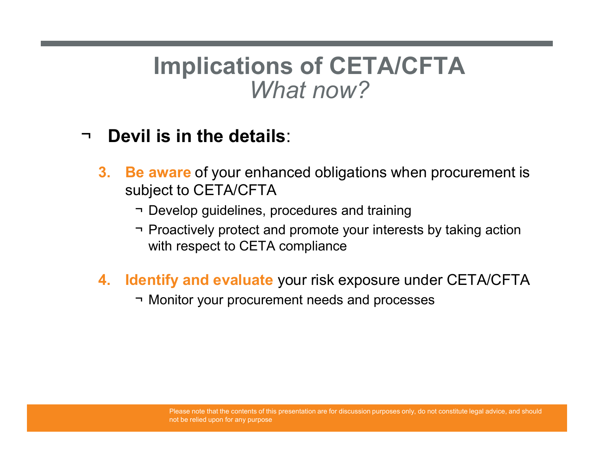### Implications of CETA/CFTA What now? **Implications of CETA/CFTA**<br>
What now?<br>
Vil is in the details:<br>
Ne aware of your enhanced obligations when procurement is<br>
ubject to CETA/CFTA<br>
There of your enhanced obligations when procurement is<br>
There of your enhanced **Implications of CETA/CFTA**<br>
What now?<br>
Vil is in the details:<br> **e aware** of your enhanced obligations when procurement is<br>
ubject to CETA/CFTA<br>
Therefore your interests by taking action<br>
Proactively protect and promote yo

#### ¬ Devil is in the details:

- 3. Be aware of your enhanced obligations when procurement is subject to CETA/CFTA **Frame** is **in the details**:<br> **E** aware of your enhanced obligations when pubject to CETA/CFTA<br>
→ Develop guidelines, procedures and training<br>
→ Proactively protect and promote your interests b<br>
with respect to CETA compl
	-
	- with respect to CETA compliance
- 4. Identify and evaluate your risk exposure under CETA/CFTA
	-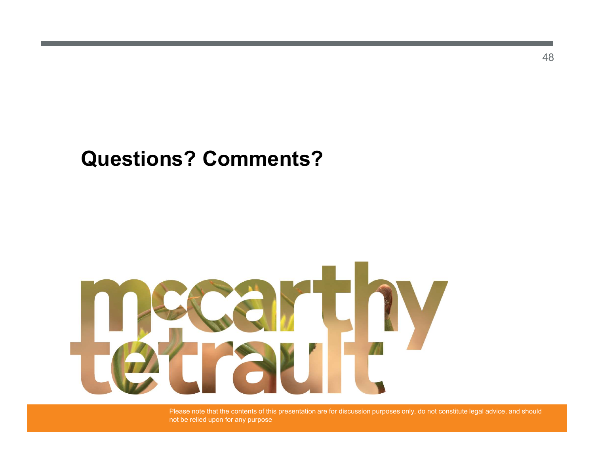#### Questions? Comments?